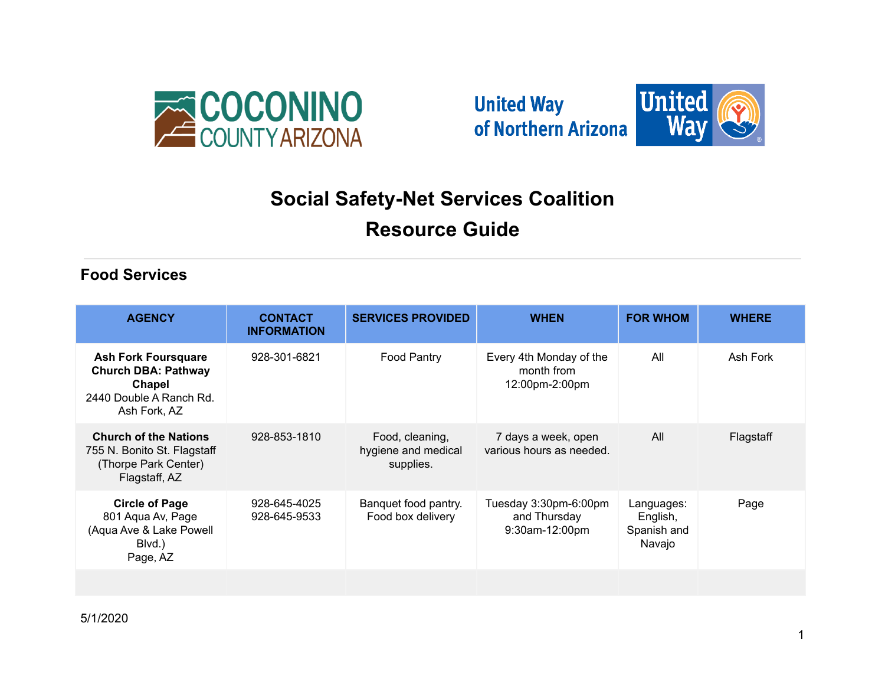





# **Social Safety-Net Services Coalition**

# **Resource Guide**

#### **Food Services**

| <b>AGENCY</b>                                                                                                 | <b>CONTACT</b><br><b>INFORMATION</b> | <b>SERVICES PROVIDED</b>                            | <b>WHEN</b>                                             | <b>FOR WHOM</b>                                 | <b>WHERE</b> |
|---------------------------------------------------------------------------------------------------------------|--------------------------------------|-----------------------------------------------------|---------------------------------------------------------|-------------------------------------------------|--------------|
| <b>Ash Fork Foursquare</b><br><b>Church DBA: Pathway</b><br>Chapel<br>2440 Double A Ranch Rd.<br>Ash Fork, AZ | 928-301-6821                         | Food Pantry                                         | Every 4th Monday of the<br>month from<br>12:00pm-2:00pm | All                                             | Ash Fork     |
| <b>Church of the Nations</b><br>755 N. Bonito St. Flagstaff<br>(Thorpe Park Center)<br>Flagstaff, AZ          | 928-853-1810                         | Food, cleaning,<br>hygiene and medical<br>supplies. | 7 days a week, open<br>various hours as needed.         | All                                             | Flagstaff    |
| <b>Circle of Page</b><br>801 Aqua Av, Page<br>(Aqua Ave & Lake Powell<br>Blvd.)<br>Page, AZ                   | 928-645-4025<br>928-645-9533         | Banquet food pantry.<br>Food box delivery           | Tuesday 3:30pm-6:00pm<br>and Thursday<br>9:30am-12:00pm | Languages:<br>English,<br>Spanish and<br>Navajo | Page         |
|                                                                                                               |                                      |                                                     |                                                         |                                                 |              |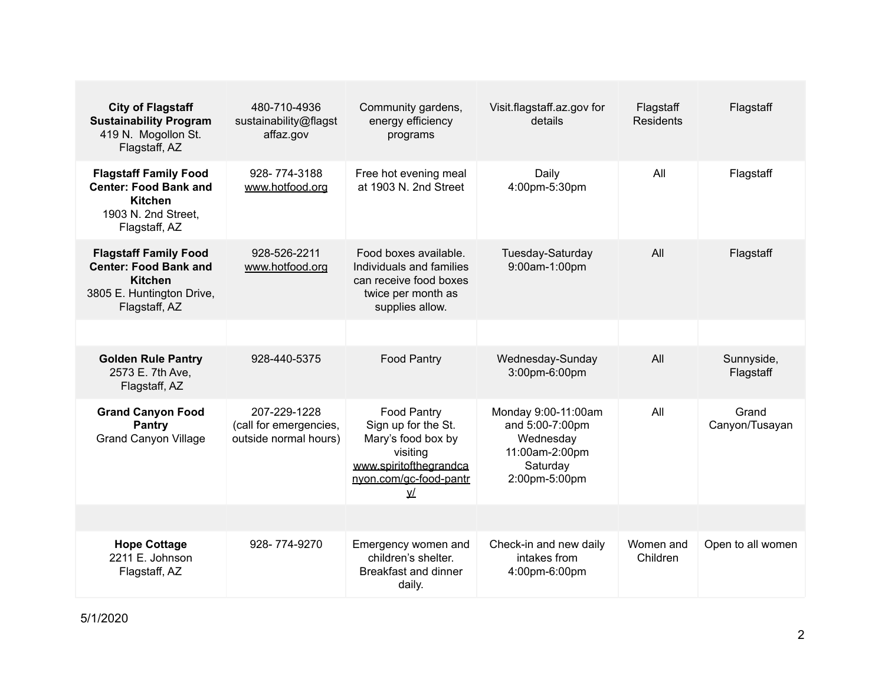| <b>City of Flagstaff</b><br><b>Sustainability Program</b><br>419 N. Mogollon St.<br>Flagstaff, AZ                            | 480-710-4936<br>sustainability@flagst<br>affaz.gov              | Community gardens,<br>energy efficiency<br>programs                                                                           | Visit.flagstaff.az.gov for<br>details                                                              | Flagstaff<br><b>Residents</b> | Flagstaff               |
|------------------------------------------------------------------------------------------------------------------------------|-----------------------------------------------------------------|-------------------------------------------------------------------------------------------------------------------------------|----------------------------------------------------------------------------------------------------|-------------------------------|-------------------------|
| <b>Flagstaff Family Food</b><br><b>Center: Food Bank and</b><br><b>Kitchen</b><br>1903 N. 2nd Street,<br>Flagstaff, AZ       | 928-774-3188<br>www.hotfood.org                                 | Free hot evening meal<br>at 1903 N. 2nd Street                                                                                | Daily<br>4:00pm-5:30pm                                                                             | All                           | Flagstaff               |
| <b>Flagstaff Family Food</b><br><b>Center: Food Bank and</b><br><b>Kitchen</b><br>3805 E. Huntington Drive,<br>Flagstaff, AZ | 928-526-2211<br>www.hotfood.org                                 | Food boxes available.<br>Individuals and families<br>can receive food boxes<br>twice per month as<br>supplies allow.          | Tuesday-Saturday<br>9:00am-1:00pm                                                                  | All                           | Flagstaff               |
|                                                                                                                              |                                                                 |                                                                                                                               |                                                                                                    |                               |                         |
| <b>Golden Rule Pantry</b><br>2573 E. 7th Ave.<br>Flagstaff, AZ                                                               | 928-440-5375                                                    | Food Pantry                                                                                                                   | Wednesday-Sunday<br>3:00pm-6:00pm                                                                  | All                           | Sunnyside,<br>Flagstaff |
| <b>Grand Canyon Food</b><br><b>Pantry</b><br><b>Grand Canyon Village</b>                                                     | 207-229-1228<br>(call for emergencies,<br>outside normal hours) | Food Pantry<br>Sign up for the St.<br>Mary's food box by<br>visiting<br>www.spiritofthegrandca<br>nyon.com/gc-food-pantr<br>⊻ | Monday 9:00-11:00am<br>and 5:00-7:00pm<br>Wednesday<br>11:00am-2:00pm<br>Saturday<br>2:00pm-5:00pm | All                           | Grand<br>Canyon/Tusayan |
|                                                                                                                              |                                                                 |                                                                                                                               |                                                                                                    |                               |                         |
| <b>Hope Cottage</b><br>2211 E. Johnson<br>Flagstaff, AZ                                                                      | 928-774-9270                                                    | Emergency women and<br>children's shelter.<br>Breakfast and dinner<br>daily.                                                  | Check-in and new daily<br>intakes from<br>4:00pm-6:00pm                                            | Women and<br>Children         | Open to all women       |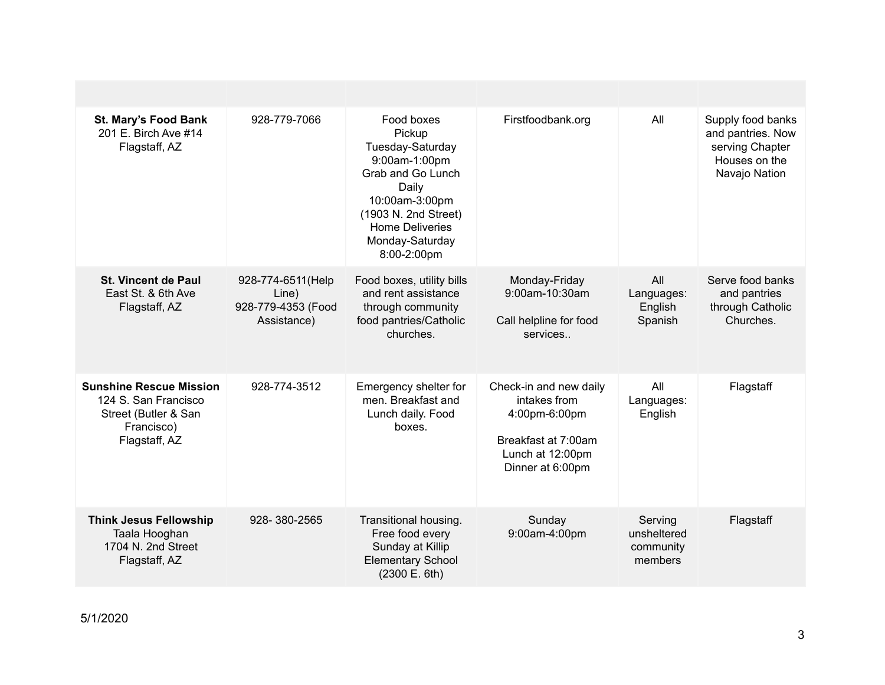| St. Mary's Food Bank<br>201 E. Birch Ave #14<br>Flagstaff, AZ                                                 | 928-779-7066                                                     | Food boxes<br>Pickup<br>Tuesday-Saturday<br>9:00am-1:00pm<br>Grab and Go Lunch<br>Daily<br>10:00am-3:00pm<br>(1903 N. 2nd Street)<br><b>Home Deliveries</b><br>Monday-Saturday<br>8:00-2:00pm | Firstfoodbank.org                                                                                                      | All                                            | Supply food banks<br>and pantries. Now<br>serving Chapter<br>Houses on the<br>Navajo Nation |
|---------------------------------------------------------------------------------------------------------------|------------------------------------------------------------------|-----------------------------------------------------------------------------------------------------------------------------------------------------------------------------------------------|------------------------------------------------------------------------------------------------------------------------|------------------------------------------------|---------------------------------------------------------------------------------------------|
| <b>St. Vincent de Paul</b><br>East St. & 6th Ave<br>Flagstaff, AZ                                             | 928-774-6511 (Help<br>Line)<br>928-779-4353 (Food<br>Assistance) | Food boxes, utility bills<br>and rent assistance<br>through community<br>food pantries/Catholic<br>churches.                                                                                  | Monday-Friday<br>9:00am-10:30am<br>Call helpline for food<br>services                                                  | All<br>Languages:<br>English<br>Spanish        | Serve food banks<br>and pantries<br>through Catholic<br>Churches.                           |
| <b>Sunshine Rescue Mission</b><br>124 S. San Francisco<br>Street (Butler & San<br>Francisco)<br>Flagstaff, AZ | 928-774-3512                                                     | Emergency shelter for<br>men. Breakfast and<br>Lunch daily. Food<br>boxes.                                                                                                                    | Check-in and new daily<br>intakes from<br>4:00pm-6:00pm<br>Breakfast at 7:00am<br>Lunch at 12:00pm<br>Dinner at 6:00pm | All<br>Languages:<br>English                   | Flagstaff                                                                                   |
| <b>Think Jesus Fellowship</b><br>Taala Hooghan<br>1704 N. 2nd Street<br>Flagstaff, AZ                         | 928-380-2565                                                     | Transitional housing.<br>Free food every<br>Sunday at Killip<br><b>Elementary School</b><br>(2300 E. 6th)                                                                                     | Sunday<br>9:00am-4:00pm                                                                                                | Serving<br>unsheltered<br>community<br>members | Flagstaff                                                                                   |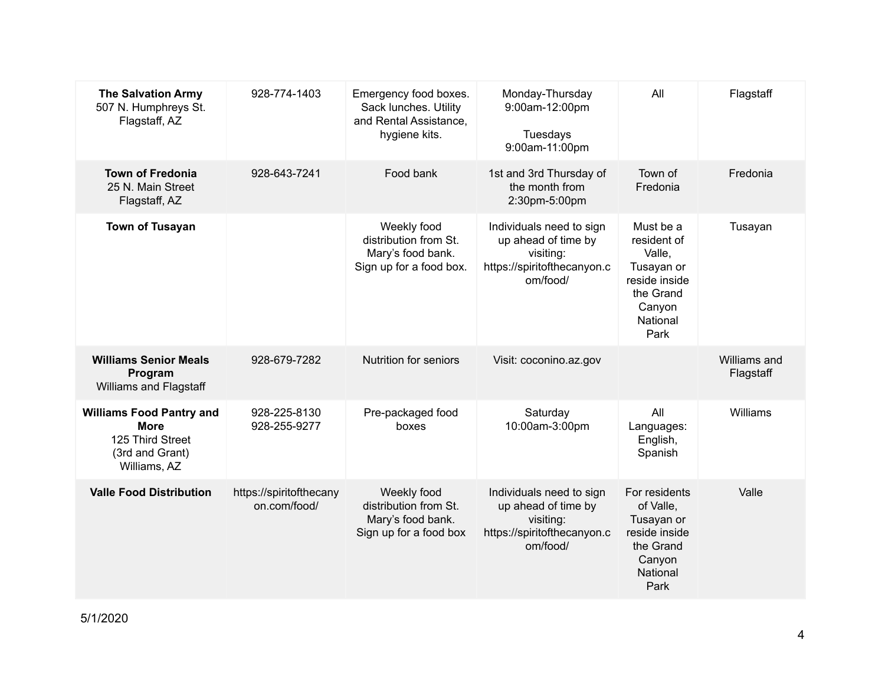| <b>The Salvation Army</b><br>507 N. Humphreys St.<br>Flagstaff, AZ                                    | 928-774-1403                            | Emergency food boxes.<br>Sack lunches. Utility<br>and Rental Assistance,<br>hygiene kits. | Monday-Thursday<br>9:00am-12:00pm<br>Tuesdays<br>9:00am-11:00pm                                         | All                                                                                                          | Flagstaff                 |
|-------------------------------------------------------------------------------------------------------|-----------------------------------------|-------------------------------------------------------------------------------------------|---------------------------------------------------------------------------------------------------------|--------------------------------------------------------------------------------------------------------------|---------------------------|
| <b>Town of Fredonia</b><br>25 N. Main Street<br>Flagstaff, AZ                                         | 928-643-7241                            | Food bank                                                                                 | 1st and 3rd Thursday of<br>the month from<br>2:30pm-5:00pm                                              | Town of<br>Fredonia                                                                                          | Fredonia                  |
| <b>Town of Tusayan</b>                                                                                |                                         | Weekly food<br>distribution from St.<br>Mary's food bank.<br>Sign up for a food box.      | Individuals need to sign<br>up ahead of time by<br>visiting:<br>https://spiritofthecanyon.c<br>om/food/ | Must be a<br>resident of<br>Valle,<br>Tusayan or<br>reside inside<br>the Grand<br>Canyon<br>National<br>Park | Tusayan                   |
| <b>Williams Senior Meals</b><br>Program<br>Williams and Flagstaff                                     | 928-679-7282                            | <b>Nutrition for seniors</b>                                                              | Visit: coconino.az.gov                                                                                  |                                                                                                              | Williams and<br>Flagstaff |
| <b>Williams Food Pantry and</b><br><b>More</b><br>125 Third Street<br>(3rd and Grant)<br>Williams, AZ | 928-225-8130<br>928-255-9277            | Pre-packaged food<br>boxes                                                                | Saturday<br>10:00am-3:00pm                                                                              | All<br>Languages:<br>English,<br>Spanish                                                                     | Williams                  |
| <b>Valle Food Distribution</b>                                                                        | https://spiritofthecany<br>on.com/food/ | Weekly food<br>distribution from St.<br>Mary's food bank.<br>Sign up for a food box       | Individuals need to sign<br>up ahead of time by<br>visiting:<br>https://spiritofthecanyon.c<br>om/food/ | For residents<br>of Valle,<br>Tusayan or<br>reside inside<br>the Grand<br>Canyon<br>National<br>Park         | Valle                     |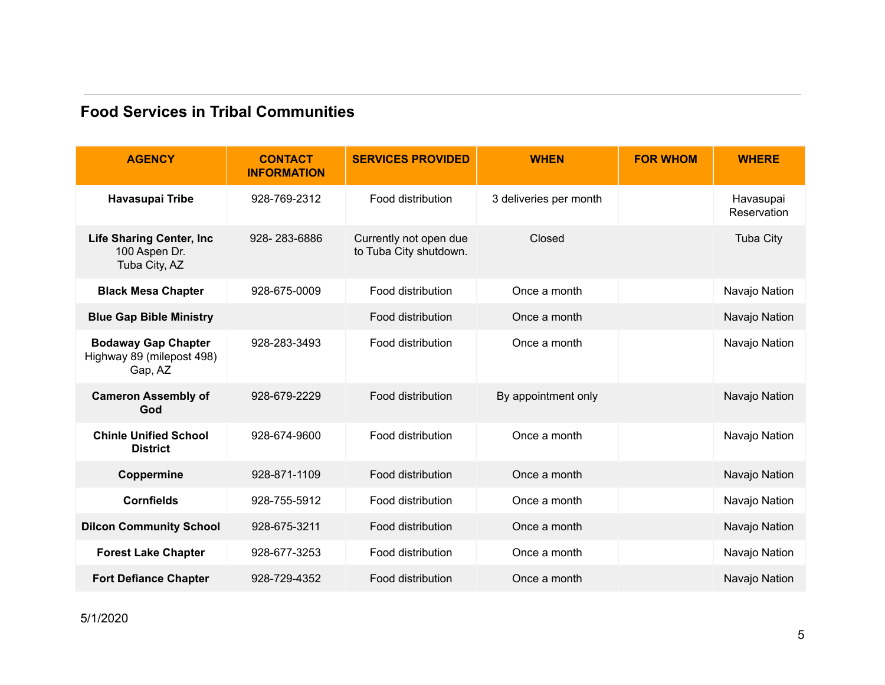#### **Food Services in Tribal Communities**

| <b>AGENCY</b>                                                      | <b>CONTACT</b><br><b>INFORMATION</b> | <b>SERVICES PROVIDED</b>                         | <b>WHEN</b>            | <b>FOR WHOM</b> | <b>WHERE</b>             |
|--------------------------------------------------------------------|--------------------------------------|--------------------------------------------------|------------------------|-----------------|--------------------------|
| Havasupai Tribe                                                    | 928-769-2312                         | Food distribution                                | 3 deliveries per month |                 | Havasupai<br>Reservation |
| <b>Life Sharing Center, Inc.</b><br>100 Aspen Dr.<br>Tuba City, AZ | 928-283-6886                         | Currently not open due<br>to Tuba City shutdown. | Closed                 |                 | <b>Tuba City</b>         |
| <b>Black Mesa Chapter</b>                                          | 928-675-0009                         | Food distribution                                | Once a month           |                 | Navajo Nation            |
| <b>Blue Gap Bible Ministry</b>                                     |                                      | Food distribution                                | Once a month           |                 | Navajo Nation            |
| <b>Bodaway Gap Chapter</b><br>Highway 89 (milepost 498)<br>Gap, AZ | 928-283-3493                         | Food distribution                                | Once a month           |                 | Navajo Nation            |
| <b>Cameron Assembly of</b><br>God                                  | 928-679-2229                         | Food distribution                                | By appointment only    |                 | Navajo Nation            |
| <b>Chinle Unified School</b><br><b>District</b>                    | 928-674-9600                         | Food distribution                                | Once a month           |                 | Navajo Nation            |
| Coppermine                                                         | 928-871-1109                         | Food distribution                                | Once a month           |                 | Navajo Nation            |
| <b>Cornfields</b>                                                  | 928-755-5912                         | Food distribution                                | Once a month           |                 | Navajo Nation            |
| <b>Dilcon Community School</b>                                     | 928-675-3211                         | Food distribution                                | Once a month           |                 | Navajo Nation            |
| <b>Forest Lake Chapter</b>                                         | 928-677-3253                         | Food distribution                                | Once a month           |                 | Navajo Nation            |
| <b>Fort Defiance Chapter</b>                                       | 928-729-4352                         | Food distribution                                | Once a month           |                 | Navajo Nation            |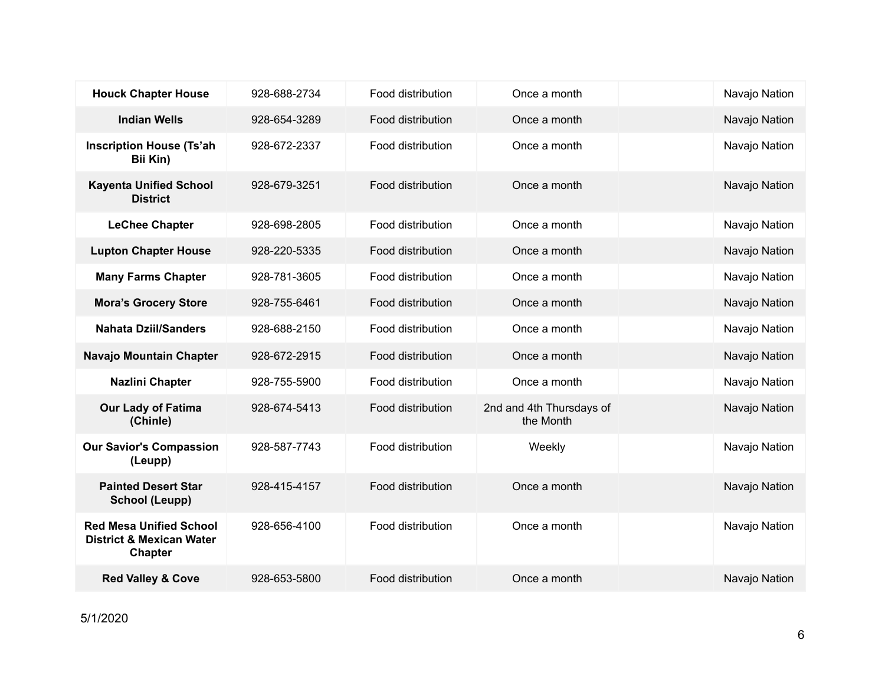| <b>Houck Chapter House</b>                                                       | 928-688-2734 | Food distribution | Once a month                          | Navajo Nation |
|----------------------------------------------------------------------------------|--------------|-------------------|---------------------------------------|---------------|
| <b>Indian Wells</b>                                                              | 928-654-3289 | Food distribution | Once a month                          | Navajo Nation |
| <b>Inscription House (Ts'ah</b><br>Bii Kin)                                      | 928-672-2337 | Food distribution | Once a month                          | Navajo Nation |
| <b>Kayenta Unified School</b><br><b>District</b>                                 | 928-679-3251 | Food distribution | Once a month                          | Navajo Nation |
| <b>LeChee Chapter</b>                                                            | 928-698-2805 | Food distribution | Once a month                          | Navajo Nation |
| <b>Lupton Chapter House</b>                                                      | 928-220-5335 | Food distribution | Once a month                          | Navajo Nation |
| <b>Many Farms Chapter</b>                                                        | 928-781-3605 | Food distribution | Once a month                          | Navajo Nation |
| <b>Mora's Grocery Store</b>                                                      | 928-755-6461 | Food distribution | Once a month                          | Navajo Nation |
| <b>Nahata Dziil/Sanders</b>                                                      | 928-688-2150 | Food distribution | Once a month                          | Navajo Nation |
| Navajo Mountain Chapter                                                          | 928-672-2915 | Food distribution | Once a month                          | Navajo Nation |
| <b>Nazlini Chapter</b>                                                           | 928-755-5900 | Food distribution | Once a month                          | Navajo Nation |
| <b>Our Lady of Fatima</b><br>(Chinle)                                            | 928-674-5413 | Food distribution | 2nd and 4th Thursdays of<br>the Month | Navajo Nation |
| <b>Our Savior's Compassion</b><br>(Leupp)                                        | 928-587-7743 | Food distribution | Weekly                                | Navajo Nation |
| <b>Painted Desert Star</b><br><b>School (Leupp)</b>                              | 928-415-4157 | Food distribution | Once a month                          | Navajo Nation |
| <b>Red Mesa Unified School</b><br><b>District &amp; Mexican Water</b><br>Chapter | 928-656-4100 | Food distribution | Once a month                          | Navajo Nation |
| <b>Red Valley &amp; Cove</b>                                                     | 928-653-5800 | Food distribution | Once a month                          | Navajo Nation |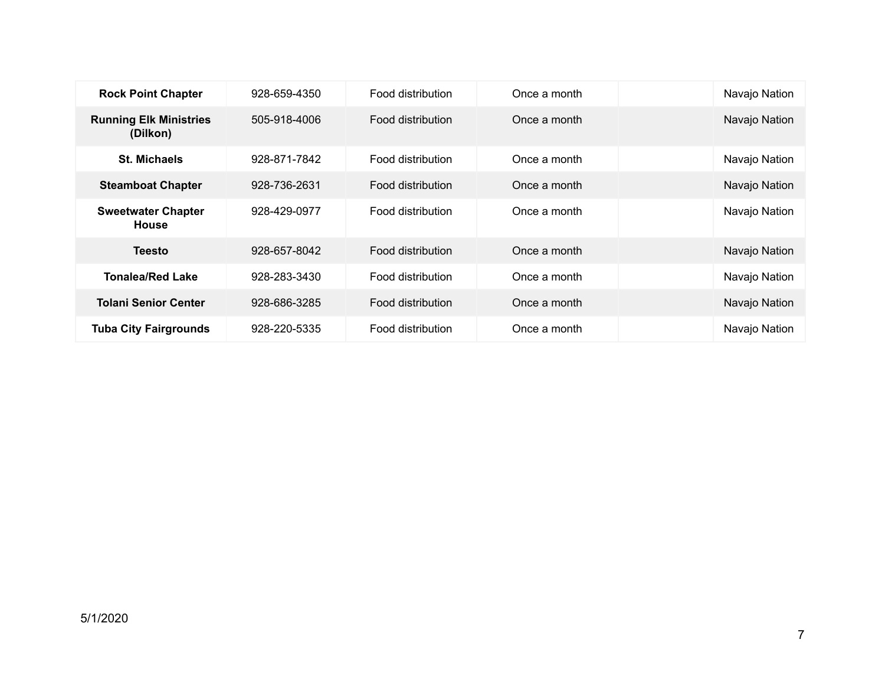| <b>Rock Point Chapter</b>                 | 928-659-4350 | Food distribution | Once a month | Navajo Nation |
|-------------------------------------------|--------------|-------------------|--------------|---------------|
| <b>Running Elk Ministries</b><br>(Dilkon) | 505-918-4006 | Food distribution | Once a month | Navajo Nation |
| <b>St. Michaels</b>                       | 928-871-7842 | Food distribution | Once a month | Navajo Nation |
| <b>Steamboat Chapter</b>                  | 928-736-2631 | Food distribution | Once a month | Navajo Nation |
| <b>Sweetwater Chapter</b><br><b>House</b> | 928-429-0977 | Food distribution | Once a month | Navajo Nation |
| <b>Teesto</b>                             | 928-657-8042 | Food distribution | Once a month | Navajo Nation |
| <b>Tonalea/Red Lake</b>                   | 928-283-3430 | Food distribution | Once a month | Navajo Nation |
| <b>Tolani Senior Center</b>               | 928-686-3285 | Food distribution | Once a month | Navajo Nation |
| <b>Tuba City Fairgrounds</b>              | 928-220-5335 | Food distribution | Once a month | Navajo Nation |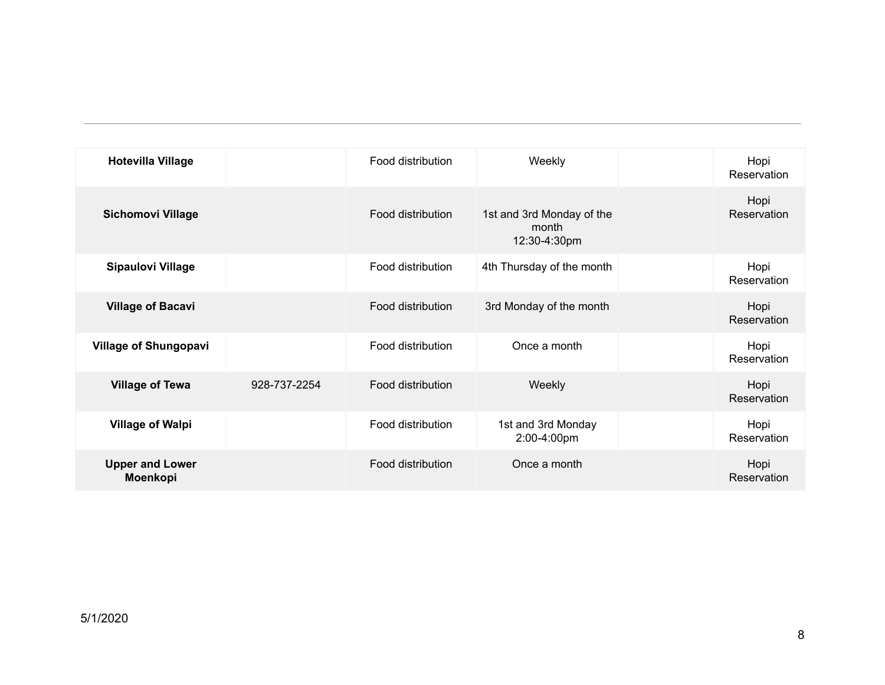| <b>Hotevilla Village</b>           |              | Food distribution | Weekly                                             | Hopi<br>Reservation |
|------------------------------------|--------------|-------------------|----------------------------------------------------|---------------------|
| <b>Sichomovi Village</b>           |              | Food distribution | 1st and 3rd Monday of the<br>month<br>12:30-4:30pm | Hopi<br>Reservation |
| <b>Sipaulovi Village</b>           |              | Food distribution | 4th Thursday of the month                          | Hopi<br>Reservation |
| <b>Village of Bacavi</b>           |              | Food distribution | 3rd Monday of the month                            | Hopi<br>Reservation |
| <b>Village of Shungopavi</b>       |              | Food distribution | Once a month                                       | Hopi<br>Reservation |
| <b>Village of Tewa</b>             | 928-737-2254 | Food distribution | Weekly                                             | Hopi<br>Reservation |
| <b>Village of Walpi</b>            |              | Food distribution | 1st and 3rd Monday<br>2:00-4:00pm                  | Hopi<br>Reservation |
| <b>Upper and Lower</b><br>Moenkopi |              | Food distribution | Once a month                                       | Hopi<br>Reservation |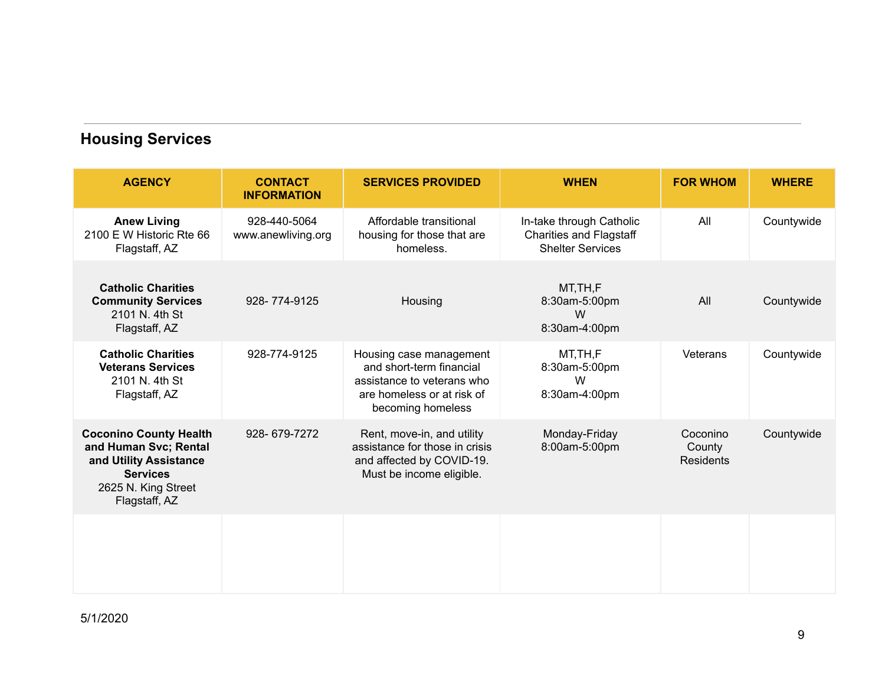### **Housing Services**

| <b>AGENCY</b>                                                                                                                               | <b>CONTACT</b><br><b>INFORMATION</b> | <b>SERVICES PROVIDED</b>                                                                                                             | <b>WHEN</b>                                                                           | <b>FOR WHOM</b>                 | <b>WHERE</b> |
|---------------------------------------------------------------------------------------------------------------------------------------------|--------------------------------------|--------------------------------------------------------------------------------------------------------------------------------------|---------------------------------------------------------------------------------------|---------------------------------|--------------|
| <b>Anew Living</b><br>2100 E W Historic Rte 66<br>Flagstaff, AZ                                                                             | 928-440-5064<br>www.anewliving.org   | Affordable transitional<br>housing for those that are<br>homeless.                                                                   | In-take through Catholic<br><b>Charities and Flagstaff</b><br><b>Shelter Services</b> | All                             | Countywide   |
| <b>Catholic Charities</b><br><b>Community Services</b><br>2101 N. 4th St<br>Flagstaff, AZ                                                   | 928-774-9125                         | Housing                                                                                                                              | MT, TH, F<br>8:30am-5:00pm<br>W<br>8:30am-4:00pm                                      | All                             | Countywide   |
| <b>Catholic Charities</b><br><b>Veterans Services</b><br>2101 N. 4th St<br>Flagstaff, AZ                                                    | 928-774-9125                         | Housing case management<br>and short-term financial<br>assistance to veterans who<br>are homeless or at risk of<br>becoming homeless | MT, TH, F<br>8:30am-5:00pm<br>W<br>8:30am-4:00pm                                      | Veterans                        | Countywide   |
| <b>Coconino County Health</b><br>and Human Svc; Rental<br>and Utility Assistance<br><b>Services</b><br>2625 N. King Street<br>Flagstaff, AZ | 928-679-7272                         | Rent, move-in, and utility<br>assistance for those in crisis<br>and affected by COVID-19.<br>Must be income eligible.                | Monday-Friday<br>8:00am-5:00pm                                                        | Coconino<br>County<br>Residents | Countywide   |
|                                                                                                                                             |                                      |                                                                                                                                      |                                                                                       |                                 |              |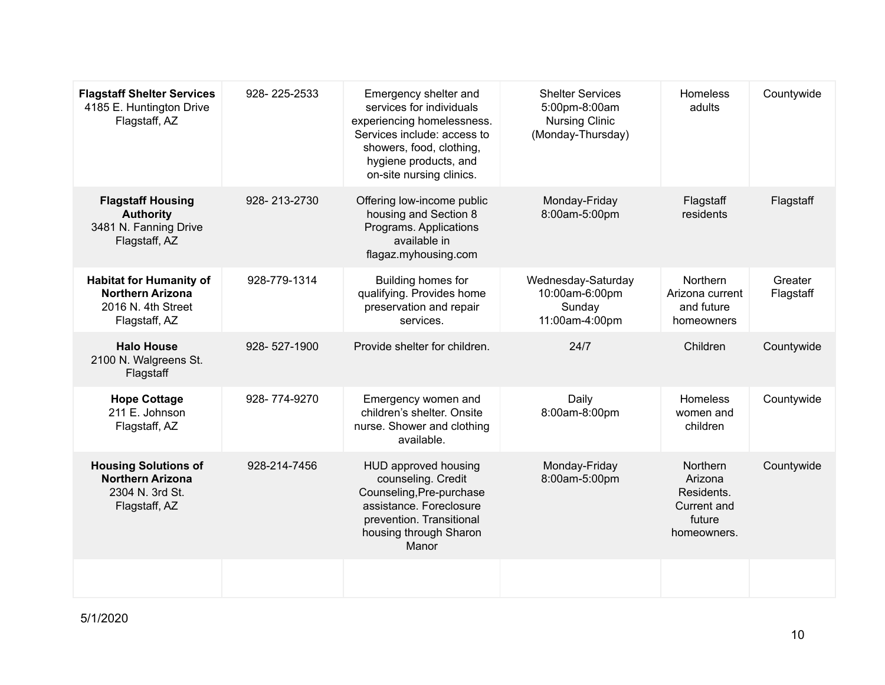| <b>Flagstaff Shelter Services</b><br>4185 E. Huntington Drive<br>Flagstaff, AZ                   | 928-225-2533 | Emergency shelter and<br>services for individuals<br>experiencing homelessness.<br>Services include: access to<br>showers, food, clothing,<br>hygiene products, and | <b>Shelter Services</b><br>5:00pm-8:00am<br><b>Nursing Clinic</b><br>(Monday-Thursday) | Homeless<br>adults                                                               | Countywide           |
|--------------------------------------------------------------------------------------------------|--------------|---------------------------------------------------------------------------------------------------------------------------------------------------------------------|----------------------------------------------------------------------------------------|----------------------------------------------------------------------------------|----------------------|
| <b>Flagstaff Housing</b><br><b>Authority</b><br>3481 N. Fanning Drive<br>Flagstaff, AZ           | 928-213-2730 | on-site nursing clinics.<br>Offering low-income public<br>housing and Section 8<br>Programs. Applications<br>available in<br>flagaz.myhousing.com                   | Monday-Friday<br>8:00am-5:00pm                                                         | Flagstaff<br>residents                                                           | Flagstaff            |
| <b>Habitat for Humanity of</b><br><b>Northern Arizona</b><br>2016 N. 4th Street<br>Flagstaff, AZ | 928-779-1314 | Building homes for<br>qualifying. Provides home<br>preservation and repair<br>services.                                                                             | Wednesday-Saturday<br>10:00am-6:00pm<br>Sunday<br>11:00am-4:00pm                       | Northern<br>Arizona current<br>and future<br>homeowners                          | Greater<br>Flagstaff |
| <b>Halo House</b><br>2100 N. Walgreens St.<br>Flagstaff                                          | 928-527-1900 | Provide shelter for children.                                                                                                                                       | 24/7                                                                                   | Children                                                                         | Countywide           |
| <b>Hope Cottage</b><br>211 E. Johnson<br>Flagstaff, AZ                                           | 928-774-9270 | Emergency women and<br>children's shelter. Onsite<br>nurse. Shower and clothing<br>available.                                                                       | Daily<br>8:00am-8:00pm                                                                 | Homeless<br>women and<br>children                                                | Countywide           |
| <b>Housing Solutions of</b><br><b>Northern Arizona</b><br>2304 N. 3rd St.<br>Flagstaff, AZ       | 928-214-7456 | HUD approved housing<br>counseling. Credit<br>Counseling, Pre-purchase<br>assistance. Foreclosure<br>prevention. Transitional<br>housing through Sharon<br>Manor    | Monday-Friday<br>8:00am-5:00pm                                                         | <b>Northern</b><br>Arizona<br>Residents.<br>Current and<br>future<br>homeowners. | Countywide           |
|                                                                                                  |              |                                                                                                                                                                     |                                                                                        |                                                                                  |                      |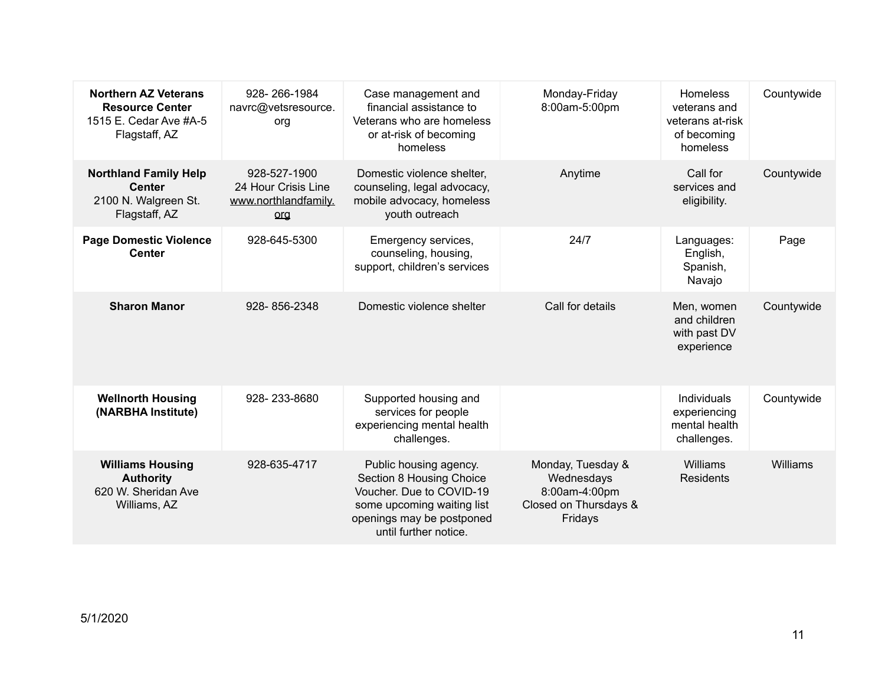| <b>Northern AZ Veterans</b><br><b>Resource Center</b><br>1515 E. Cedar Ave #A-5<br>Flagstaff, AZ | 928-266-1984<br>navrc@vetsresource.<br>org                         | Case management and<br>financial assistance to<br>Veterans who are homeless<br>or at-risk of becoming<br>homeless                                                  | Monday-Friday<br>8:00am-5:00pm                                                       | Homeless<br>veterans and<br>veterans at-risk<br>of becoming<br>homeless | Countywide |
|--------------------------------------------------------------------------------------------------|--------------------------------------------------------------------|--------------------------------------------------------------------------------------------------------------------------------------------------------------------|--------------------------------------------------------------------------------------|-------------------------------------------------------------------------|------------|
| <b>Northland Family Help</b><br><b>Center</b><br>2100 N. Walgreen St.<br>Flagstaff, AZ           | 928-527-1900<br>24 Hour Crisis Line<br>www.northlandfamily.<br>org | Domestic violence shelter,<br>counseling, legal advocacy,<br>mobile advocacy, homeless<br>youth outreach                                                           | Anytime                                                                              | Call for<br>services and<br>eligibility.                                | Countywide |
| <b>Page Domestic Violence</b><br><b>Center</b>                                                   | 928-645-5300                                                       | Emergency services,<br>counseling, housing,<br>support, children's services                                                                                        | 24/7                                                                                 | Languages:<br>English,<br>Spanish,<br>Navajo                            | Page       |
| <b>Sharon Manor</b>                                                                              | 928-856-2348                                                       | Domestic violence shelter                                                                                                                                          | Call for details                                                                     | Men, women<br>and children<br>with past DV<br>experience                | Countywide |
| <b>Wellnorth Housing</b><br>(NARBHA Institute)                                                   | 928-233-8680                                                       | Supported housing and<br>services for people<br>experiencing mental health<br>challenges.                                                                          |                                                                                      | Individuals<br>experiencing<br>mental health<br>challenges.             | Countywide |
| <b>Williams Housing</b><br><b>Authority</b><br>620 W. Sheridan Ave<br>Williams, AZ               | 928-635-4717                                                       | Public housing agency.<br>Section 8 Housing Choice<br>Voucher. Due to COVID-19<br>some upcoming waiting list<br>openings may be postponed<br>until further notice. | Monday, Tuesday &<br>Wednesdays<br>8:00am-4:00pm<br>Closed on Thursdays &<br>Fridays | Williams<br><b>Residents</b>                                            | Williams   |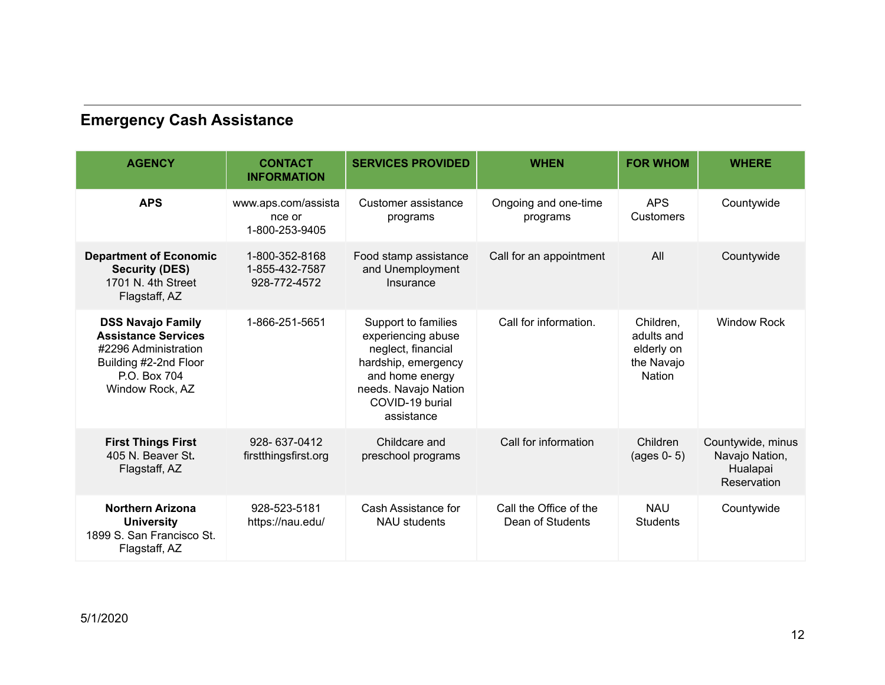### **Emergency Cash Assistance**

| <b>AGENCY</b>                                                                                                                              | <b>CONTACT</b><br><b>INFORMATION</b>             | <b>SERVICES PROVIDED</b>                                                                                                                                           | <b>WHEN</b>                                | <b>FOR WHOM</b>                                                      | <b>WHERE</b>                                                          |
|--------------------------------------------------------------------------------------------------------------------------------------------|--------------------------------------------------|--------------------------------------------------------------------------------------------------------------------------------------------------------------------|--------------------------------------------|----------------------------------------------------------------------|-----------------------------------------------------------------------|
| <b>APS</b>                                                                                                                                 | www.aps.com/assista<br>nce or<br>1-800-253-9405  | Customer assistance<br>programs                                                                                                                                    | Ongoing and one-time<br>programs           | <b>APS</b><br>Customers                                              | Countywide                                                            |
| <b>Department of Economic</b><br><b>Security (DES)</b><br>1701 N. 4th Street<br>Flagstaff, AZ                                              | 1-800-352-8168<br>1-855-432-7587<br>928-772-4572 | Food stamp assistance<br>and Unemployment<br>Insurance                                                                                                             | Call for an appointment                    | All                                                                  | Countywide                                                            |
| <b>DSS Navajo Family</b><br><b>Assistance Services</b><br>#2296 Administration<br>Building #2-2nd Floor<br>P.O. Box 704<br>Window Rock, AZ | 1-866-251-5651                                   | Support to families<br>experiencing abuse<br>neglect, financial<br>hardship, emergency<br>and home energy<br>needs. Navajo Nation<br>COVID-19 burial<br>assistance | Call for information.                      | Children,<br>adults and<br>elderly on<br>the Navajo<br><b>Nation</b> | <b>Window Rock</b>                                                    |
| <b>First Things First</b><br>405 N. Beaver St.<br>Flagstaff, AZ                                                                            | 928-637-0412<br>firstthingsfirst.org             | Childcare and<br>preschool programs                                                                                                                                | Call for information                       | Children<br>$(aqes 0-5)$                                             | Countywide, minus<br>Navajo Nation,<br>Hualapai<br><b>Reservation</b> |
| <b>Northern Arizona</b><br><b>University</b><br>1899 S. San Francisco St.<br>Flagstaff, AZ                                                 | 928-523-5181<br>https://nau.edu/                 | Cash Assistance for<br><b>NAU students</b>                                                                                                                         | Call the Office of the<br>Dean of Students | <b>NAU</b><br><b>Students</b>                                        | Countywide                                                            |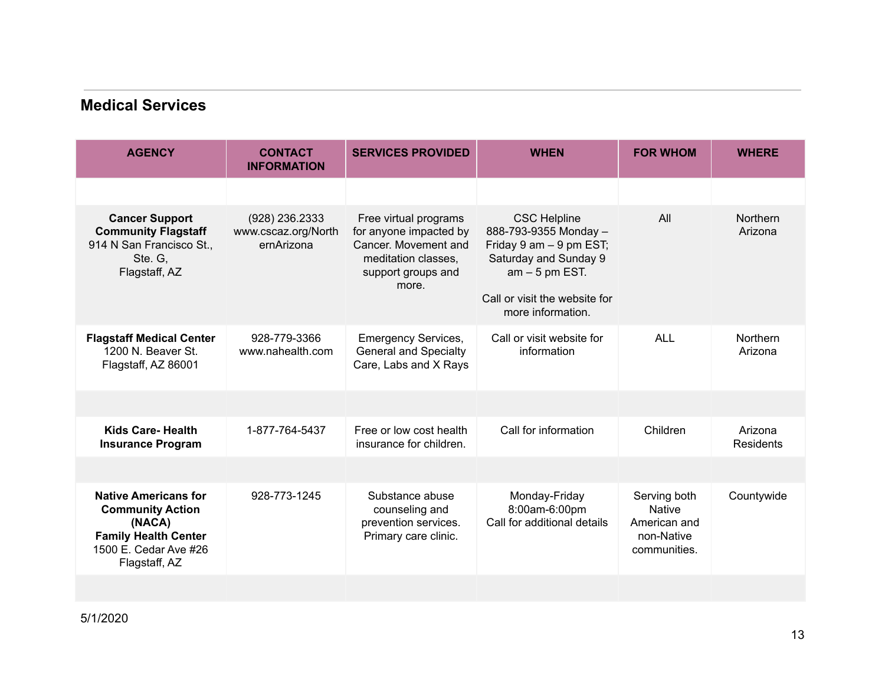#### **Medical Services**

| <b>AGENCY</b>                                                                                                                             | <b>CONTACT</b><br><b>INFORMATION</b>                | <b>SERVICES PROVIDED</b>                                                                                                      | <b>WHEN</b>                                                                                                                                                                 | <b>FOR WHOM</b>                                                             | <b>WHERE</b>               |
|-------------------------------------------------------------------------------------------------------------------------------------------|-----------------------------------------------------|-------------------------------------------------------------------------------------------------------------------------------|-----------------------------------------------------------------------------------------------------------------------------------------------------------------------------|-----------------------------------------------------------------------------|----------------------------|
|                                                                                                                                           |                                                     |                                                                                                                               |                                                                                                                                                                             |                                                                             |                            |
| <b>Cancer Support</b><br><b>Community Flagstaff</b><br>914 N San Francisco St.,<br>Ste. G,<br>Flagstaff, AZ                               | (928) 236.2333<br>www.cscaz.org/North<br>ernArizona | Free virtual programs<br>for anyone impacted by<br>Cancer, Movement and<br>meditation classes,<br>support groups and<br>more. | <b>CSC Helpline</b><br>888-793-9355 Monday -<br>Friday 9 am - 9 pm EST;<br>Saturday and Sunday 9<br>$am - 5 pm EST$ .<br>Call or visit the website for<br>more information. | All                                                                         | <b>Northern</b><br>Arizona |
| <b>Flagstaff Medical Center</b><br>1200 N. Beaver St.<br>Flagstaff, AZ 86001                                                              | 928-779-3366<br>www.nahealth.com                    | <b>Emergency Services,</b><br><b>General and Specialty</b><br>Care, Labs and X Rays                                           | Call or visit website for<br>information                                                                                                                                    | <b>ALL</b>                                                                  | Northern<br>Arizona        |
|                                                                                                                                           |                                                     |                                                                                                                               |                                                                                                                                                                             |                                                                             |                            |
| <b>Kids Care-Health</b><br><b>Insurance Program</b>                                                                                       | 1-877-764-5437                                      | Free or low cost health<br>insurance for children.                                                                            | Call for information                                                                                                                                                        | Children                                                                    | Arizona<br>Residents       |
|                                                                                                                                           |                                                     |                                                                                                                               |                                                                                                                                                                             |                                                                             |                            |
| <b>Native Americans for</b><br><b>Community Action</b><br>(NACA)<br><b>Family Health Center</b><br>1500 E. Cedar Ave #26<br>Flagstaff, AZ | 928-773-1245                                        | Substance abuse<br>counseling and<br>prevention services.<br>Primary care clinic.                                             | Monday-Friday<br>8:00am-6:00pm<br>Call for additional details                                                                                                               | Serving both<br><b>Native</b><br>American and<br>non-Native<br>communities. | Countywide                 |
|                                                                                                                                           |                                                     |                                                                                                                               |                                                                                                                                                                             |                                                                             |                            |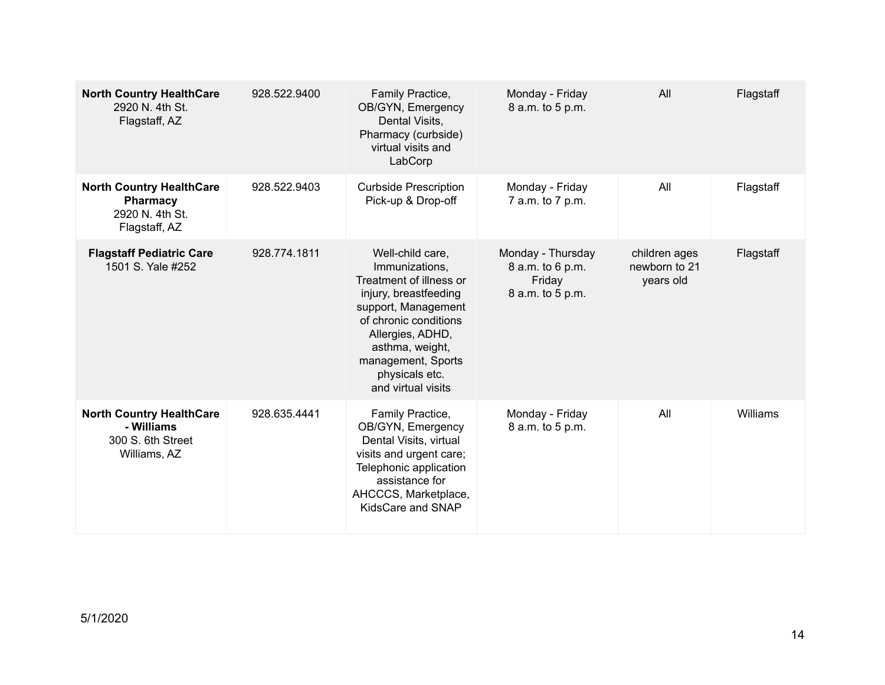| <b>North Country HealthCare</b><br>2920 N. 4th St.<br>Flagstaff, AZ                | 928.522.9400 | Family Practice,<br>OB/GYN, Emergency<br>Dental Visits,<br>Pharmacy (curbside)<br>virtual visits and<br>LabCorp                                                                                                                             | Monday - Friday<br>8 a.m. to 5 p.m.                                 | All                                         | Flagstaff |
|------------------------------------------------------------------------------------|--------------|---------------------------------------------------------------------------------------------------------------------------------------------------------------------------------------------------------------------------------------------|---------------------------------------------------------------------|---------------------------------------------|-----------|
| <b>North Country HealthCare</b><br>Pharmacy<br>2920 N. 4th St.<br>Flagstaff, AZ    | 928.522.9403 | <b>Curbside Prescription</b><br>Pick-up & Drop-off                                                                                                                                                                                          | Monday - Friday<br>7 a.m. to 7 p.m.                                 | All                                         | Flagstaff |
| <b>Flagstaff Pediatric Care</b><br>1501 S. Yale #252                               | 928.774.1811 | Well-child care,<br>Immunizations.<br>Treatment of illness or<br>injury, breastfeeding<br>support, Management<br>of chronic conditions<br>Allergies, ADHD,<br>asthma, weight,<br>management, Sports<br>physicals etc.<br>and virtual visits | Monday - Thursday<br>8 a.m. to 6 p.m.<br>Friday<br>8 a.m. to 5 p.m. | children ages<br>newborn to 21<br>years old | Flagstaff |
| <b>North Country HealthCare</b><br>- Williams<br>300 S. 6th Street<br>Williams, AZ | 928.635.4441 | Family Practice,<br>OB/GYN, Emergency<br>Dental Visits, virtual<br>visits and urgent care;<br>Telephonic application<br>assistance for<br>AHCCCS, Marketplace,<br>KidsCare and SNAP                                                         | Monday - Friday<br>8 a.m. to 5 p.m.                                 | All                                         | Williams  |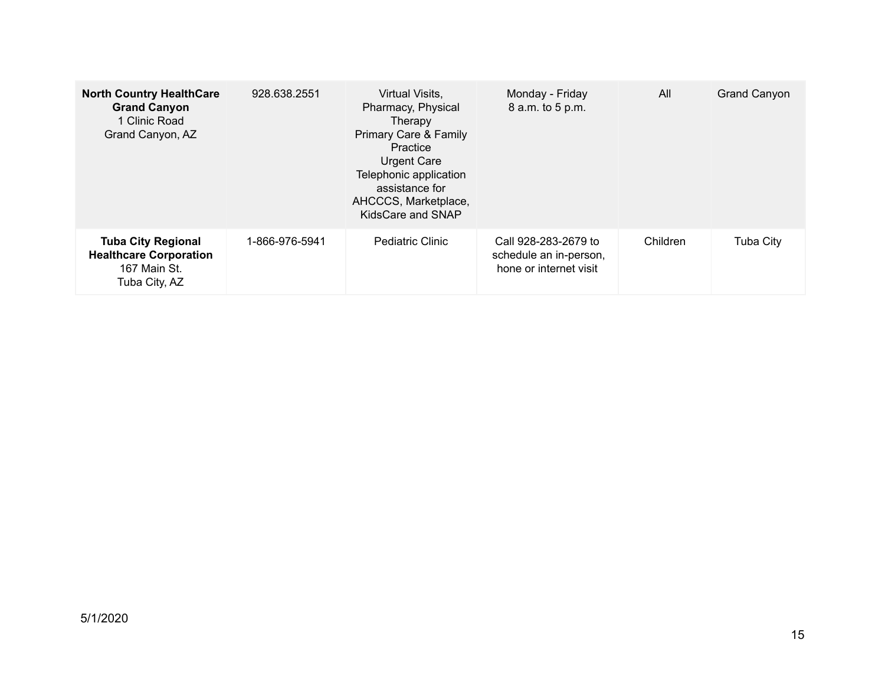| <b>North Country HealthCare</b><br><b>Grand Canyon</b><br>1 Clinic Road<br>Grand Canyon, AZ | 928.638.2551   | Virtual Visits,<br>Pharmacy, Physical<br>Therapy<br>Primary Care & Family<br>Practice<br><b>Urgent Care</b><br>Telephonic application<br>assistance for<br>AHCCCS, Marketplace,<br>KidsCare and SNAP | Monday - Friday<br>8 a.m. to 5 p.m.                                      | All      | <b>Grand Canyon</b> |
|---------------------------------------------------------------------------------------------|----------------|------------------------------------------------------------------------------------------------------------------------------------------------------------------------------------------------------|--------------------------------------------------------------------------|----------|---------------------|
| <b>Tuba City Regional</b><br><b>Healthcare Corporation</b><br>167 Main St.<br>Tuba City, AZ | 1-866-976-5941 | <b>Pediatric Clinic</b>                                                                                                                                                                              | Call 928-283-2679 to<br>schedule an in-person,<br>hone or internet visit | Children | <b>Tuba City</b>    |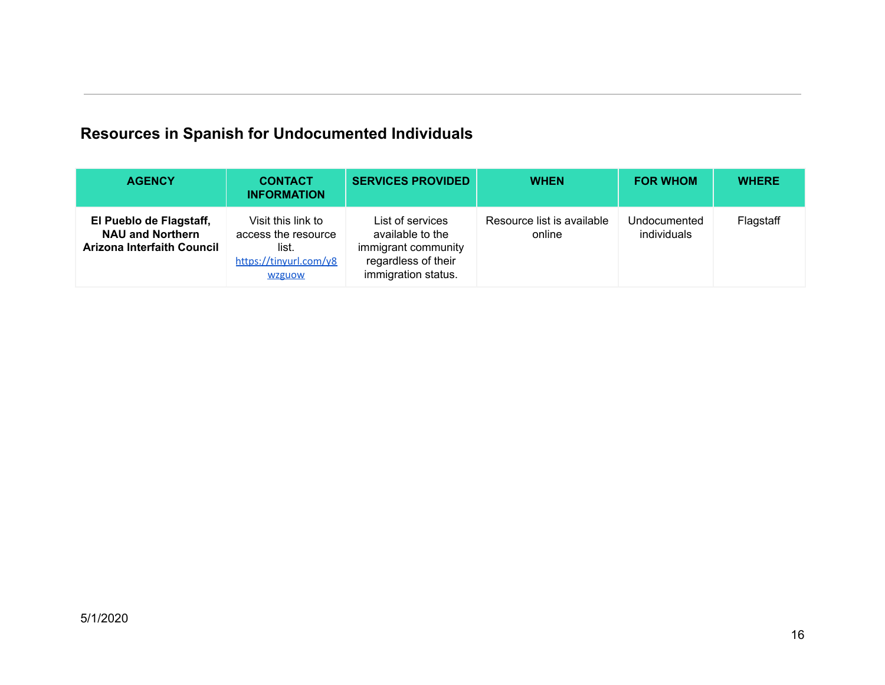## **Resources in Spanish for Undocumented Individuals**

| <b>AGENCY</b>                                                                    | <b>CONTACT</b><br><b>INFORMATION</b>                                                          | <b>SERVICES PROVIDED</b>                                                                                  | <b>WHEN</b>                          | <b>FOR WHOM</b>             | <b>WHERE</b> |
|----------------------------------------------------------------------------------|-----------------------------------------------------------------------------------------------|-----------------------------------------------------------------------------------------------------------|--------------------------------------|-----------------------------|--------------|
| El Pueblo de Flagstaff,<br><b>NAU and Northern</b><br>Arizona Interfaith Council | Visit this link to<br>access the resource<br>list.<br>https://tinyurl.com/y8<br><b>WZguow</b> | List of services<br>available to the<br>immigrant community<br>regardless of their<br>immigration status. | Resource list is available<br>online | Undocumented<br>individuals | Flagstaff    |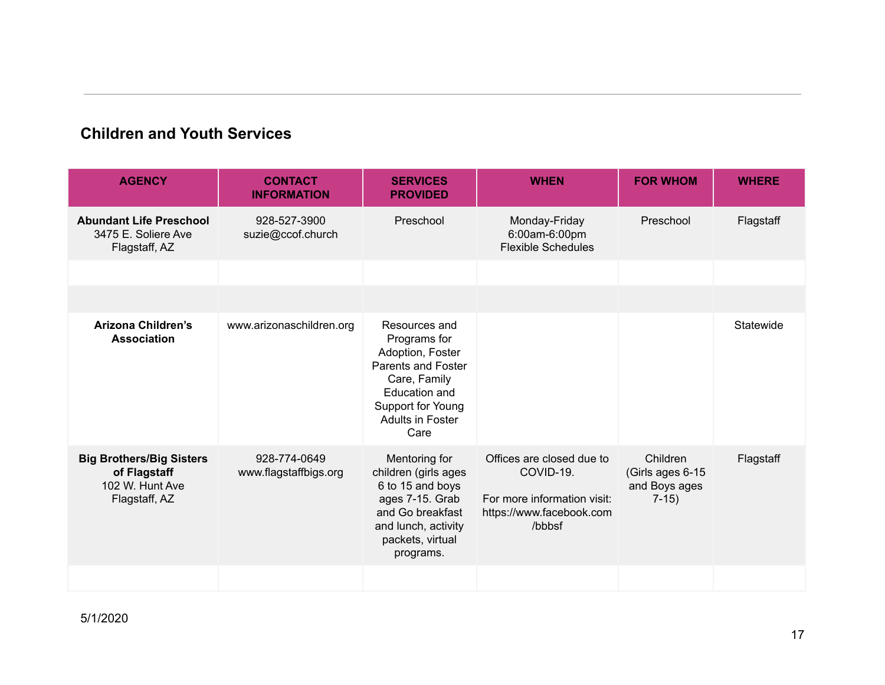#### **Children and Youth Services**

| <b>AGENCY</b>                                                                       | <b>CONTACT</b><br><b>INFORMATION</b>  | <b>SERVICES</b><br><b>PROVIDED</b>                                                                                                                               | <b>WHEN</b>                                                                                                 | <b>FOR WHOM</b>                                         | <b>WHERE</b> |
|-------------------------------------------------------------------------------------|---------------------------------------|------------------------------------------------------------------------------------------------------------------------------------------------------------------|-------------------------------------------------------------------------------------------------------------|---------------------------------------------------------|--------------|
| <b>Abundant Life Preschool</b><br>3475 E. Soliere Ave<br>Flagstaff, AZ              | 928-527-3900<br>suzie@ccof.church     | Preschool                                                                                                                                                        | Monday-Friday<br>6:00am-6:00pm<br><b>Flexible Schedules</b>                                                 | Preschool                                               | Flagstaff    |
|                                                                                     |                                       |                                                                                                                                                                  |                                                                                                             |                                                         |              |
|                                                                                     |                                       |                                                                                                                                                                  |                                                                                                             |                                                         |              |
| <b>Arizona Children's</b><br><b>Association</b>                                     | www.arizonaschildren.org              | Resources and<br>Programs for<br>Adoption, Foster<br>Parents and Foster<br>Care, Family<br>Education and<br>Support for Young<br><b>Adults in Foster</b><br>Care |                                                                                                             |                                                         | Statewide    |
| <b>Big Brothers/Big Sisters</b><br>of Flagstaff<br>102 W. Hunt Ave<br>Flagstaff, AZ | 928-774-0649<br>www.flagstaffbigs.org | Mentoring for<br>children (girls ages<br>6 to 15 and boys<br>ages 7-15. Grab<br>and Go breakfast<br>and lunch, activity<br>packets, virtual<br>programs.         | Offices are closed due to<br>COVID-19.<br>For more information visit:<br>https://www.facebook.com<br>/bbbsf | Children<br>(Girls ages 6-15<br>and Boys ages<br>$7-15$ | Flagstaff    |
|                                                                                     |                                       |                                                                                                                                                                  |                                                                                                             |                                                         |              |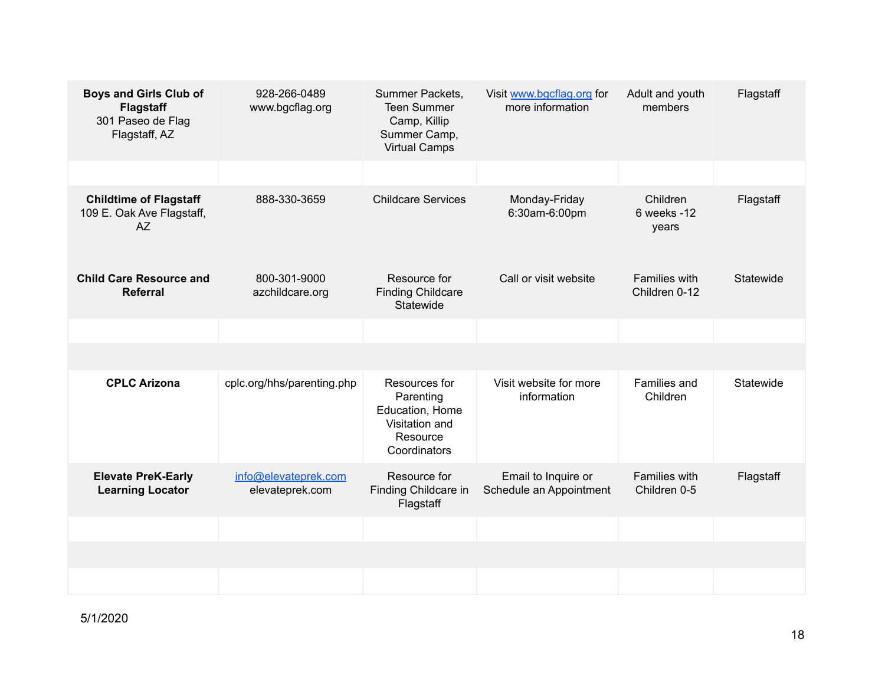| <b>Boys and Girls Club of</b><br><b>Flagstaff</b><br>301 Paseo de Flag<br>Flagstaff, AZ | 928-266-0489<br>www.bgcflag.org         | Summer Packets,<br><b>Teen Summer</b><br>Camp, Killip<br>Summer Camp,<br><b>Virtual Camps</b> | Visit www.bgcflag.org for<br>more information  | Adult and youth<br>members            | Flagstaff |
|-----------------------------------------------------------------------------------------|-----------------------------------------|-----------------------------------------------------------------------------------------------|------------------------------------------------|---------------------------------------|-----------|
|                                                                                         |                                         |                                                                                               |                                                |                                       |           |
| <b>Childtime of Flagstaff</b><br>109 E. Oak Ave Flagstaff,<br><b>AZ</b>                 | 888-330-3659                            | <b>Childcare Services</b>                                                                     | Monday-Friday<br>6:30am-6:00pm                 | Children<br>6 weeks -12<br>years      | Flagstaff |
| <b>Child Care Resource and</b><br><b>Referral</b>                                       | 800-301-9000<br>azchildcare.org         | Resource for<br><b>Finding Childcare</b><br>Statewide                                         | Call or visit website                          | <b>Families with</b><br>Children 0-12 | Statewide |
|                                                                                         |                                         |                                                                                               |                                                |                                       |           |
|                                                                                         |                                         |                                                                                               |                                                |                                       |           |
| <b>CPLC Arizona</b>                                                                     | cplc.org/hhs/parenting.php              | Resources for<br>Parenting<br>Education, Home<br>Visitation and<br>Resource<br>Coordinators   | Visit website for more<br>information          | Families and<br>Children              | Statewide |
| <b>Elevate PreK-Early</b><br><b>Learning Locator</b>                                    | info@elevateprek.com<br>elevateprek.com | Resource for<br>Finding Childcare in<br>Flagstaff                                             | Email to Inquire or<br>Schedule an Appointment | <b>Families with</b><br>Children 0-5  | Flagstaff |
|                                                                                         |                                         |                                                                                               |                                                |                                       |           |
|                                                                                         |                                         |                                                                                               |                                                |                                       |           |
|                                                                                         |                                         |                                                                                               |                                                |                                       |           |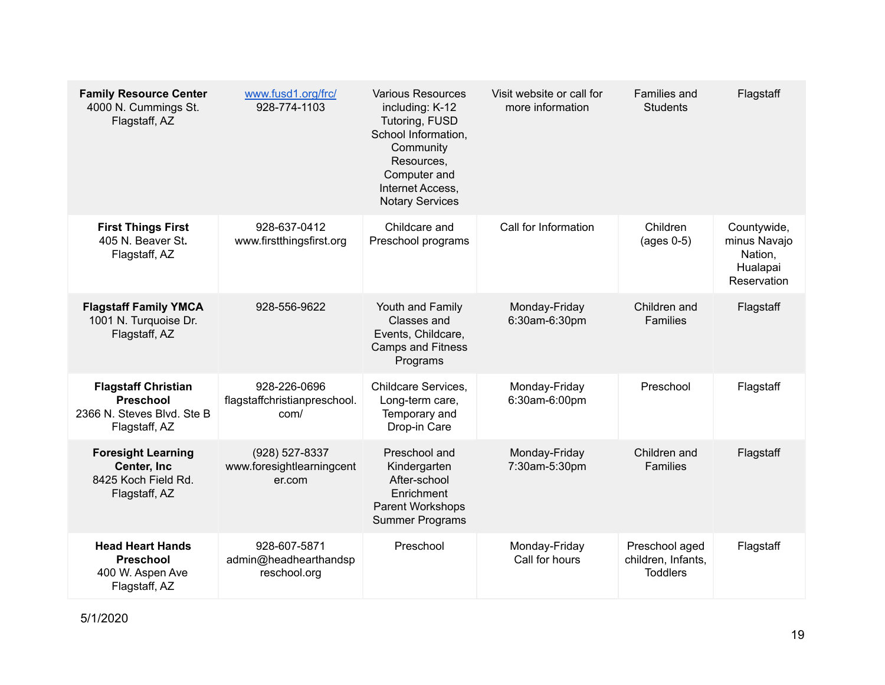| <b>Family Resource Center</b><br>4000 N. Cummings St.<br>Flagstaff, AZ                        | www.fusd1.org/frc/<br>928-774-1103                    | <b>Various Resources</b><br>including: K-12<br>Tutoring, FUSD<br>School Information,<br>Community<br>Resources.<br>Computer and<br>Internet Access,<br><b>Notary Services</b> | Visit website or call for<br>more information | Families and<br><b>Students</b>                         | Flagstaff                                                         |
|-----------------------------------------------------------------------------------------------|-------------------------------------------------------|-------------------------------------------------------------------------------------------------------------------------------------------------------------------------------|-----------------------------------------------|---------------------------------------------------------|-------------------------------------------------------------------|
| <b>First Things First</b><br>405 N. Beaver St.<br>Flagstaff, AZ                               | 928-637-0412<br>www.firstthingsfirst.org              | Childcare and<br>Preschool programs                                                                                                                                           | Call for Information                          | Children<br>$(ages 0-5)$                                | Countywide,<br>minus Navajo<br>Nation,<br>Hualapai<br>Reservation |
| <b>Flagstaff Family YMCA</b><br>1001 N. Turquoise Dr.<br>Flagstaff, AZ                        | 928-556-9622                                          | Youth and Family<br>Classes and<br>Events, Childcare,<br><b>Camps and Fitness</b><br>Programs                                                                                 | Monday-Friday<br>6:30am-6:30pm                | Children and<br><b>Families</b>                         | Flagstaff                                                         |
| <b>Flagstaff Christian</b><br><b>Preschool</b><br>2366 N. Steves Blvd. Ste B<br>Flagstaff, AZ | 928-226-0696<br>flagstaffchristianpreschool.<br>com/  | Childcare Services,<br>Long-term care,<br>Temporary and<br>Drop-in Care                                                                                                       | Monday-Friday<br>6:30am-6:00pm                | Preschool                                               | Flagstaff                                                         |
| <b>Foresight Learning</b><br>Center, Inc<br>8425 Koch Field Rd.<br>Flagstaff, AZ              | (928) 527-8337<br>www.foresightlearningcent<br>er.com | Preschool and<br>Kindergarten<br>After-school<br>Enrichment<br>Parent Workshops<br><b>Summer Programs</b>                                                                     | Monday-Friday<br>7:30am-5:30pm                | Children and<br><b>Families</b>                         | Flagstaff                                                         |
| <b>Head Heart Hands</b><br><b>Preschool</b><br>400 W. Aspen Ave<br>Flagstaff, AZ              | 928-607-5871<br>admin@headhearthandsp<br>reschool.org | Preschool                                                                                                                                                                     | Monday-Friday<br>Call for hours               | Preschool aged<br>children, Infants,<br><b>Toddlers</b> | Flagstaff                                                         |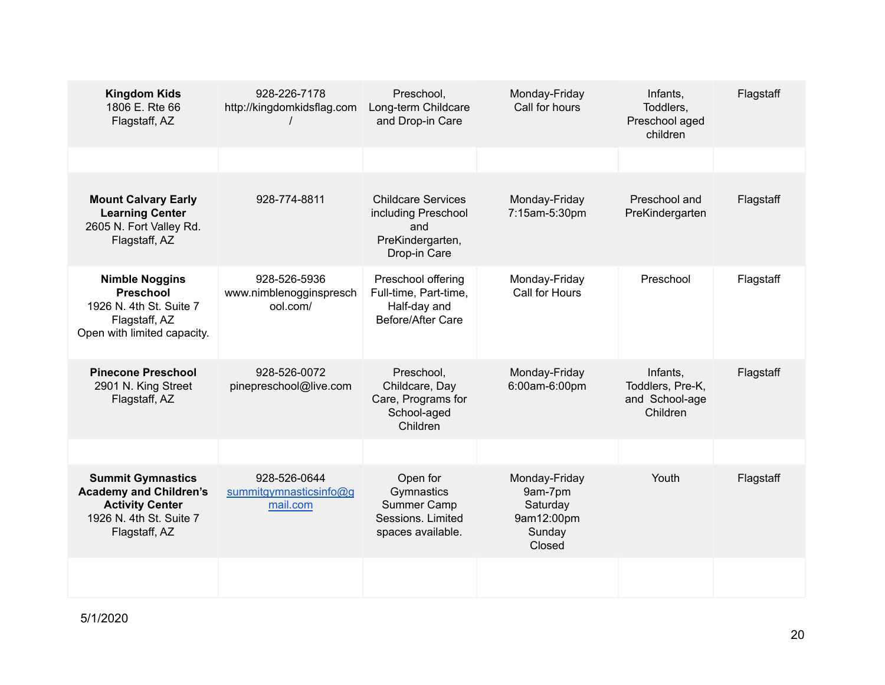| <b>Kingdom Kids</b><br>1806 E. Rte 66<br>Flagstaff, AZ                                                                          | 928-226-7178<br>http://kingdomkidsflag.com          | Preschool,<br>Long-term Childcare<br>and Drop-in Care                                       | Monday-Friday<br>Call for hours                                        | Infants.<br>Toddlers,<br>Preschool aged<br>children        | Flagstaff |
|---------------------------------------------------------------------------------------------------------------------------------|-----------------------------------------------------|---------------------------------------------------------------------------------------------|------------------------------------------------------------------------|------------------------------------------------------------|-----------|
|                                                                                                                                 |                                                     |                                                                                             |                                                                        |                                                            |           |
| <b>Mount Calvary Early</b><br><b>Learning Center</b><br>2605 N. Fort Valley Rd.<br>Flagstaff, AZ                                | 928-774-8811                                        | <b>Childcare Services</b><br>including Preschool<br>and<br>PreKindergarten,<br>Drop-in Care | Monday-Friday<br>7:15am-5:30pm                                         | Preschool and<br>PreKindergarten                           | Flagstaff |
| <b>Nimble Noggins</b><br><b>Preschool</b><br>1926 N. 4th St. Suite 7<br>Flagstaff, AZ<br>Open with limited capacity.            | 928-526-5936<br>www.nimblenogginspresch<br>ool.com/ | Preschool offering<br>Full-time, Part-time,<br>Half-day and<br>Before/After Care            | Monday-Friday<br>Call for Hours                                        | Preschool                                                  | Flagstaff |
| <b>Pinecone Preschool</b><br>2901 N. King Street<br>Flagstaff, AZ                                                               | 928-526-0072<br>pinepreschool@live.com              | Preschool,<br>Childcare, Day<br>Care, Programs for<br>School-aged<br>Children               | Monday-Friday<br>6:00am-6:00pm                                         | Infants,<br>Toddlers, Pre-K,<br>and School-age<br>Children | Flagstaff |
|                                                                                                                                 |                                                     |                                                                                             |                                                                        |                                                            |           |
| <b>Summit Gymnastics</b><br><b>Academy and Children's</b><br><b>Activity Center</b><br>1926 N. 4th St. Suite 7<br>Flagstaff, AZ | 928-526-0644<br>summitgymnasticsinfo@g<br>mail.com  | Open for<br>Gymnastics<br>Summer Camp<br>Sessions, Limited<br>spaces available.             | Monday-Friday<br>9am-7pm<br>Saturday<br>9am12:00pm<br>Sunday<br>Closed | Youth                                                      | Flagstaff |
|                                                                                                                                 |                                                     |                                                                                             |                                                                        |                                                            |           |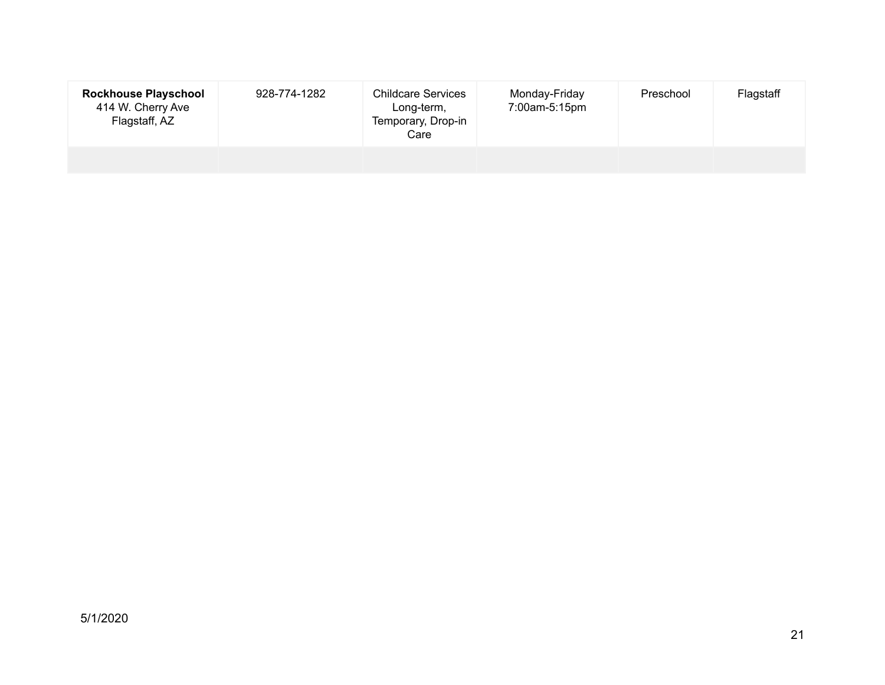| <b>Rockhouse Playschool</b><br>414 W. Cherry Ave<br>Flagstaff, AZ | 928-774-1282 | <b>Childcare Services</b><br>Long-term,<br>Temporary, Drop-in<br>Care | Monday-Friday<br>7:00am-5:15pm | Preschool | Flagstaff |
|-------------------------------------------------------------------|--------------|-----------------------------------------------------------------------|--------------------------------|-----------|-----------|
|                                                                   |              |                                                                       |                                |           |           |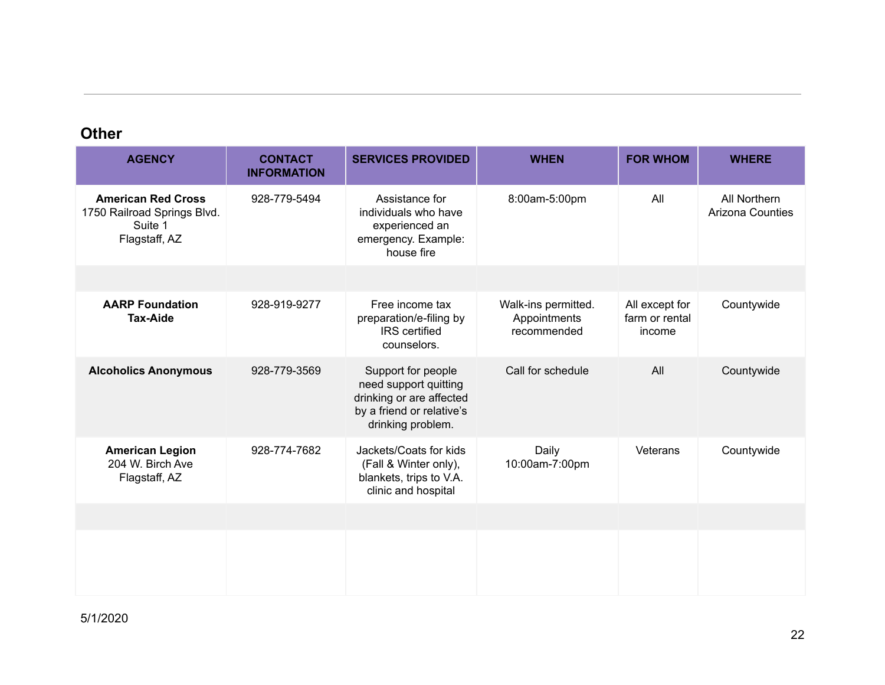#### **Other**

| <b>AGENCY</b>                                                                        | <b>CONTACT</b><br><b>INFORMATION</b> | <b>SERVICES PROVIDED</b>                                                                                                  | <b>WHEN</b>                                        | <b>FOR WHOM</b>                            | <b>WHERE</b>                            |
|--------------------------------------------------------------------------------------|--------------------------------------|---------------------------------------------------------------------------------------------------------------------------|----------------------------------------------------|--------------------------------------------|-----------------------------------------|
| <b>American Red Cross</b><br>1750 Railroad Springs Blvd.<br>Suite 1<br>Flagstaff, AZ | 928-779-5494                         | Assistance for<br>individuals who have<br>experienced an<br>emergency. Example:<br>house fire                             | 8:00am-5:00pm                                      | All                                        | All Northern<br><b>Arizona Counties</b> |
|                                                                                      |                                      |                                                                                                                           |                                                    |                                            |                                         |
| <b>AARP Foundation</b><br><b>Tax-Aide</b>                                            | 928-919-9277                         | Free income tax<br>preparation/e-filing by<br><b>IRS</b> certified<br>counselors.                                         | Walk-ins permitted.<br>Appointments<br>recommended | All except for<br>farm or rental<br>income | Countywide                              |
| <b>Alcoholics Anonymous</b>                                                          | 928-779-3569                         | Support for people<br>need support quitting<br>drinking or are affected<br>by a friend or relative's<br>drinking problem. | Call for schedule                                  | All                                        | Countywide                              |
| <b>American Legion</b><br>204 W. Birch Ave<br>Flagstaff, AZ                          | 928-774-7682                         | Jackets/Coats for kids<br>(Fall & Winter only),<br>blankets, trips to V.A.<br>clinic and hospital                         | Daily<br>10:00am-7:00pm                            | Veterans                                   | Countywide                              |
|                                                                                      |                                      |                                                                                                                           |                                                    |                                            |                                         |
|                                                                                      |                                      |                                                                                                                           |                                                    |                                            |                                         |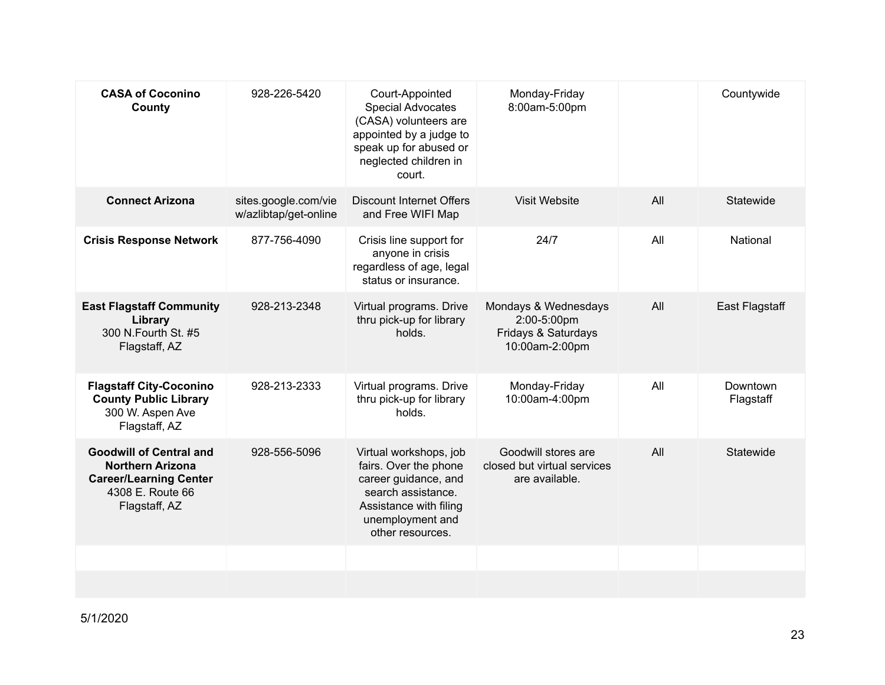| <b>CASA of Coconino</b><br>County                                                                                               | 928-226-5420                                  | Court-Appointed<br><b>Special Advocates</b><br>(CASA) volunteers are<br>appointed by a judge to<br>speak up for abused or                                       | Monday-Friday<br>8:00am-5:00pm                                               |     | Countywide            |
|---------------------------------------------------------------------------------------------------------------------------------|-----------------------------------------------|-----------------------------------------------------------------------------------------------------------------------------------------------------------------|------------------------------------------------------------------------------|-----|-----------------------|
|                                                                                                                                 |                                               | neglected children in<br>court.                                                                                                                                 |                                                                              |     |                       |
| <b>Connect Arizona</b>                                                                                                          | sites.google.com/vie<br>w/azlibtap/get-online | <b>Discount Internet Offers</b><br>and Free WIFI Map                                                                                                            | Visit Website                                                                | All | Statewide             |
| <b>Crisis Response Network</b>                                                                                                  | 877-756-4090                                  | Crisis line support for<br>anyone in crisis<br>regardless of age, legal<br>status or insurance.                                                                 | 24/7                                                                         | All | National              |
| <b>East Flagstaff Community</b><br>Library<br>300 N.Fourth St. #5<br>Flagstaff, AZ                                              | 928-213-2348                                  | Virtual programs. Drive<br>thru pick-up for library<br>holds.                                                                                                   | Mondays & Wednesdays<br>2:00-5:00pm<br>Fridays & Saturdays<br>10:00am-2:00pm | All | <b>East Flagstaff</b> |
| <b>Flagstaff City-Coconino</b><br><b>County Public Library</b><br>300 W. Aspen Ave<br>Flagstaff, AZ                             | 928-213-2333                                  | Virtual programs. Drive<br>thru pick-up for library<br>holds.                                                                                                   | Monday-Friday<br>10:00am-4:00pm                                              | All | Downtown<br>Flagstaff |
| <b>Goodwill of Central and</b><br><b>Northern Arizona</b><br><b>Career/Learning Center</b><br>4308 E. Route 66<br>Flagstaff, AZ | 928-556-5096                                  | Virtual workshops, job<br>fairs. Over the phone<br>career guidance, and<br>search assistance.<br>Assistance with filing<br>unemployment and<br>other resources. | Goodwill stores are<br>closed but virtual services<br>are available.         | All | Statewide             |
|                                                                                                                                 |                                               |                                                                                                                                                                 |                                                                              |     |                       |
|                                                                                                                                 |                                               |                                                                                                                                                                 |                                                                              |     |                       |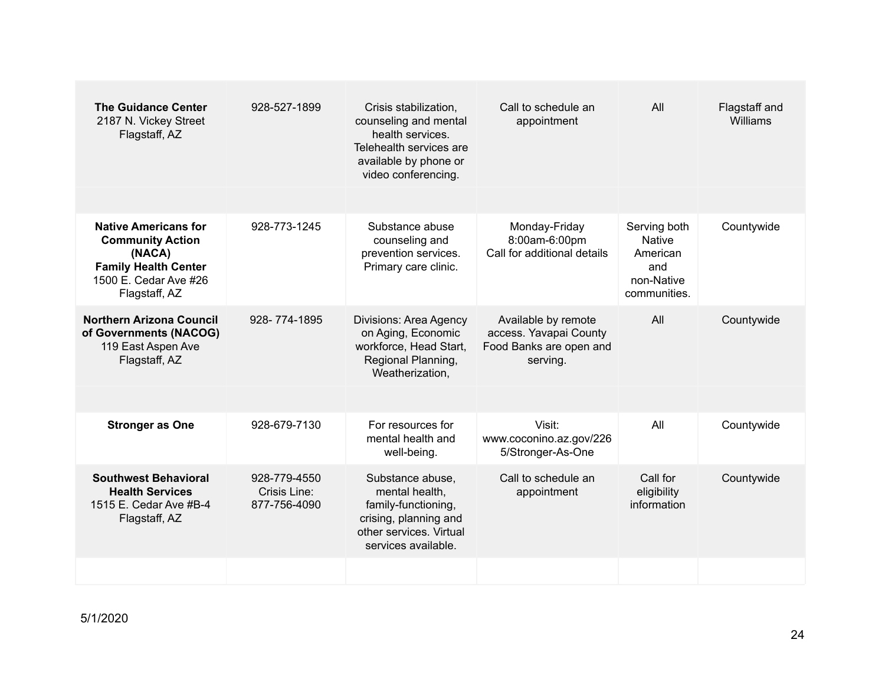| <b>The Guidance Center</b><br>2187 N. Vickey Street<br>Flagstaff, AZ                                                                      | 928-527-1899                                 | Crisis stabilization,<br>counseling and mental<br>health services.<br>Telehealth services are<br>available by phone or<br>video conferencing. | Call to schedule an<br>appointment                                                   | All                                                                            | Flagstaff and<br>Williams |
|-------------------------------------------------------------------------------------------------------------------------------------------|----------------------------------------------|-----------------------------------------------------------------------------------------------------------------------------------------------|--------------------------------------------------------------------------------------|--------------------------------------------------------------------------------|---------------------------|
|                                                                                                                                           |                                              |                                                                                                                                               |                                                                                      |                                                                                |                           |
| <b>Native Americans for</b><br><b>Community Action</b><br>(NACA)<br><b>Family Health Center</b><br>1500 E. Cedar Ave #26<br>Flagstaff, AZ | 928-773-1245                                 | Substance abuse<br>counseling and<br>prevention services.<br>Primary care clinic.                                                             | Monday-Friday<br>8:00am-6:00pm<br>Call for additional details                        | Serving both<br><b>Native</b><br>American<br>and<br>non-Native<br>communities. | Countywide                |
| <b>Northern Arizona Council</b><br>of Governments (NACOG)<br>119 East Aspen Ave<br>Flagstaff, AZ                                          | 928-774-1895                                 | Divisions: Area Agency<br>on Aging, Economic<br>workforce, Head Start,<br>Regional Planning,<br>Weatherization,                               | Available by remote<br>access. Yavapai County<br>Food Banks are open and<br>serving. | All                                                                            | Countywide                |
|                                                                                                                                           |                                              |                                                                                                                                               |                                                                                      |                                                                                |                           |
| <b>Stronger as One</b>                                                                                                                    | 928-679-7130                                 | For resources for<br>mental health and<br>well-being.                                                                                         | Visit:<br>www.coconino.az.gov/226<br>5/Stronger-As-One                               | All                                                                            | Countywide                |
| <b>Southwest Behavioral</b><br><b>Health Services</b><br>1515 E. Cedar Ave #B-4<br>Flagstaff, AZ                                          | 928-779-4550<br>Crisis Line:<br>877-756-4090 | Substance abuse,<br>mental health,<br>family-functioning,<br>crising, planning and<br>other services. Virtual<br>services available.          | Call to schedule an<br>appointment                                                   | Call for<br>eligibility<br>information                                         | Countywide                |
|                                                                                                                                           |                                              |                                                                                                                                               |                                                                                      |                                                                                |                           |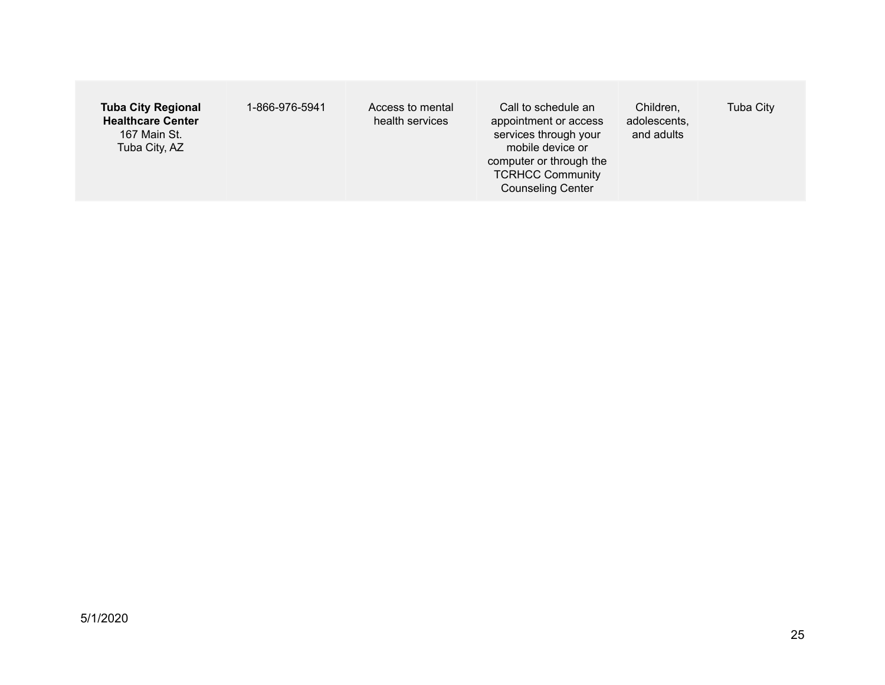| <b>Tuba City Regional</b><br>1-866-976-5941<br><b>Healthcare Center</b><br>167 Main St.<br>Tuba City, AZ | Access to mental<br>health services | Call to schedule an<br>appointment or access<br>services through your<br>mobile device or<br>computer or through the<br><b>TCRHCC Community</b><br><b>Counseling Center</b> | Children,<br>adolescents,<br>and adults | <b>Tuba City</b> |
|----------------------------------------------------------------------------------------------------------|-------------------------------------|-----------------------------------------------------------------------------------------------------------------------------------------------------------------------------|-----------------------------------------|------------------|
|----------------------------------------------------------------------------------------------------------|-------------------------------------|-----------------------------------------------------------------------------------------------------------------------------------------------------------------------------|-----------------------------------------|------------------|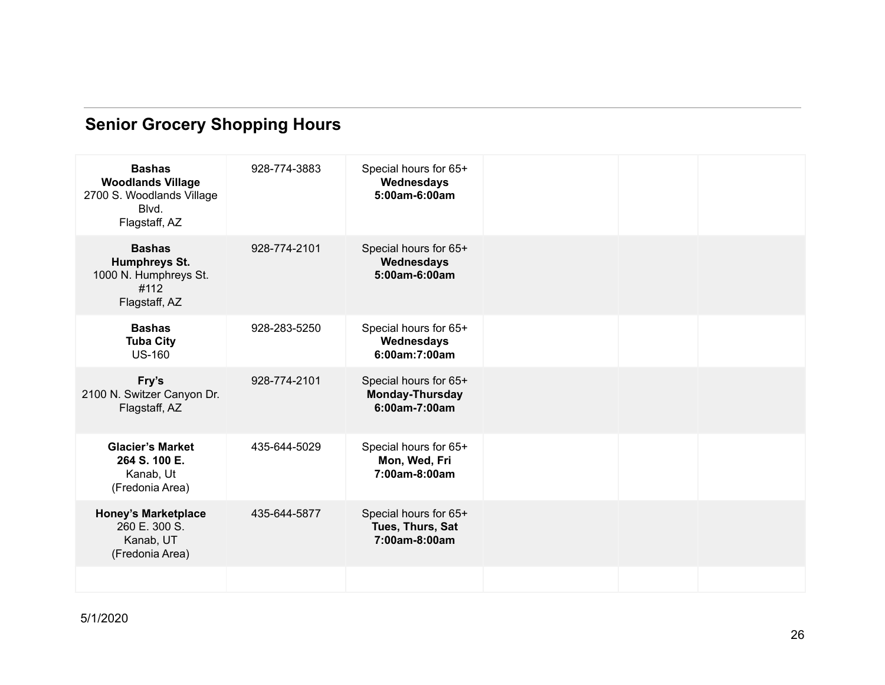# **Senior Grocery Shopping Hours**

| <b>Bashas</b><br><b>Woodlands Village</b><br>2700 S. Woodlands Village<br>Blvd.<br>Flagstaff, AZ | 928-774-3883 | Special hours for 65+<br>Wednesdays<br>5:00am-6:00am             |  |  |
|--------------------------------------------------------------------------------------------------|--------------|------------------------------------------------------------------|--|--|
| <b>Bashas</b><br>Humphreys St.<br>1000 N. Humphreys St.<br>#112<br>Flagstaff, AZ                 | 928-774-2101 | Special hours for 65+<br>Wednesdays<br>5:00am-6:00am             |  |  |
| <b>Bashas</b><br><b>Tuba City</b><br><b>US-160</b>                                               | 928-283-5250 | Special hours for 65+<br>Wednesdays<br>6:00am:7:00am             |  |  |
| Fry's<br>2100 N. Switzer Canyon Dr.<br>Flagstaff, AZ                                             | 928-774-2101 | Special hours for 65+<br><b>Monday-Thursday</b><br>6:00am-7:00am |  |  |
| <b>Glacier's Market</b><br>264 S. 100 E.<br>Kanab, Ut<br>(Fredonia Area)                         | 435-644-5029 | Special hours for 65+<br>Mon, Wed, Fri<br>7:00am-8:00am          |  |  |
| <b>Honey's Marketplace</b><br>260 E. 300 S.<br>Kanab, UT<br>(Fredonia Area)                      | 435-644-5877 | Special hours for 65+<br>Tues, Thurs, Sat<br>7:00am-8:00am       |  |  |
|                                                                                                  |              |                                                                  |  |  |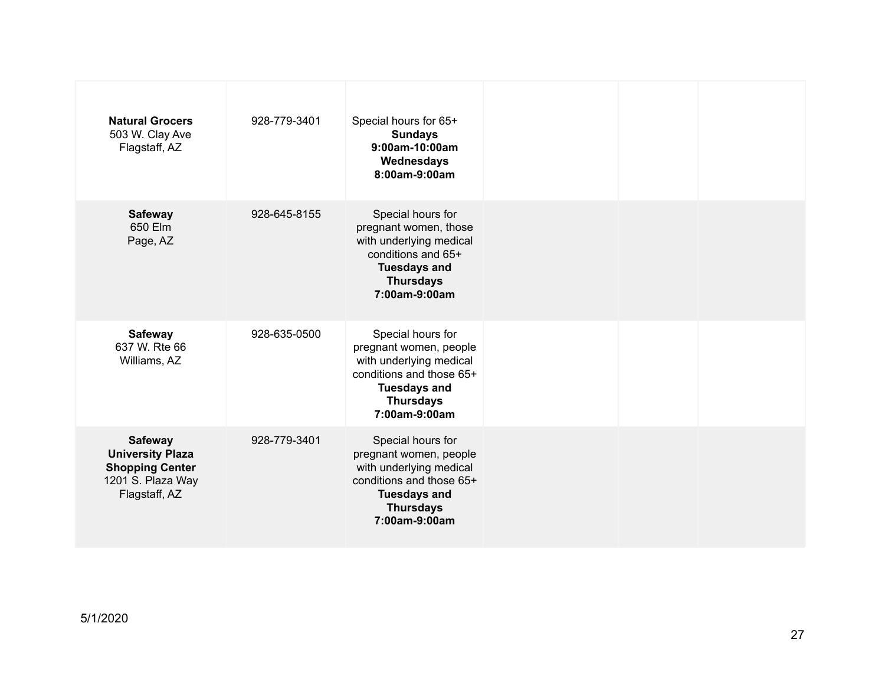| <b>Natural Grocers</b><br>503 W. Clay Ave<br>Flagstaff, AZ                                                | 928-779-3401 | Special hours for 65+<br><b>Sundays</b><br>9:00am-10:00am<br>Wednesdays<br>8:00am-9:00am                                                                       |  |  |
|-----------------------------------------------------------------------------------------------------------|--------------|----------------------------------------------------------------------------------------------------------------------------------------------------------------|--|--|
| <b>Safeway</b><br>650 Flm<br>Page, AZ                                                                     | 928-645-8155 | Special hours for<br>pregnant women, those<br>with underlying medical<br>conditions and 65+<br><b>Tuesdays and</b><br><b>Thursdays</b><br>7:00am-9:00am        |  |  |
| <b>Safeway</b><br>637 W. Rte 66<br>Williams, AZ                                                           | 928-635-0500 | Special hours for<br>pregnant women, people<br>with underlying medical<br>conditions and those 65+<br><b>Tuesdays and</b><br><b>Thursdays</b><br>7:00am-9:00am |  |  |
| <b>Safeway</b><br><b>University Plaza</b><br><b>Shopping Center</b><br>1201 S. Plaza Way<br>Flagstaff, AZ | 928-779-3401 | Special hours for<br>pregnant women, people<br>with underlying medical<br>conditions and those 65+<br><b>Tuesdays and</b><br><b>Thursdays</b><br>7:00am-9:00am |  |  |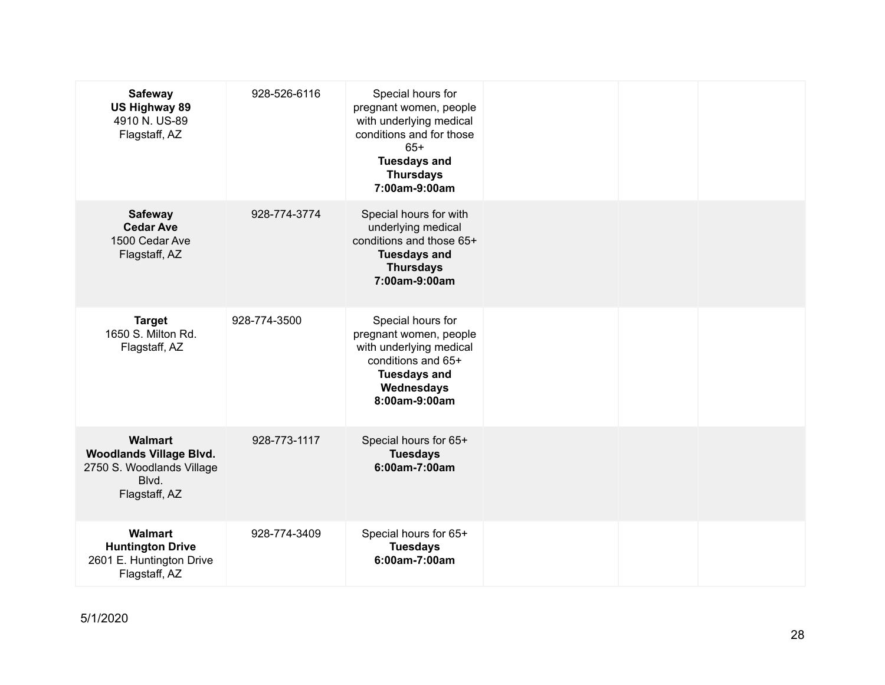| <b>Safeway</b><br><b>US Highway 89</b><br>4910 N. US-89<br>Flagstaff, AZ                                | 928-526-6116 | Special hours for<br>pregnant women, people<br>with underlying medical<br>conditions and for those<br>$65+$<br><b>Tuesdays and</b><br><b>Thursdays</b><br>7:00am-9:00am |  |  |
|---------------------------------------------------------------------------------------------------------|--------------|-------------------------------------------------------------------------------------------------------------------------------------------------------------------------|--|--|
| <b>Safeway</b><br><b>Cedar Ave</b><br>1500 Cedar Ave<br>Flagstaff, AZ                                   | 928-774-3774 | Special hours for with<br>underlying medical<br>conditions and those 65+<br><b>Tuesdays and</b><br><b>Thursdays</b><br>7:00am-9:00am                                    |  |  |
| <b>Target</b><br>1650 S. Milton Rd.<br>Flagstaff, AZ                                                    | 928-774-3500 | Special hours for<br>pregnant women, people<br>with underlying medical<br>conditions and 65+<br><b>Tuesdays and</b><br>Wednesdays<br>8:00am-9:00am                      |  |  |
| <b>Walmart</b><br><b>Woodlands Village Blvd.</b><br>2750 S. Woodlands Village<br>Blvd.<br>Flagstaff, AZ | 928-773-1117 | Special hours for 65+<br><b>Tuesdays</b><br>6:00am-7:00am                                                                                                               |  |  |
| Walmart<br><b>Huntington Drive</b><br>2601 E. Huntington Drive<br>Flagstaff, AZ                         | 928-774-3409 | Special hours for 65+<br><b>Tuesdays</b><br>6:00am-7:00am                                                                                                               |  |  |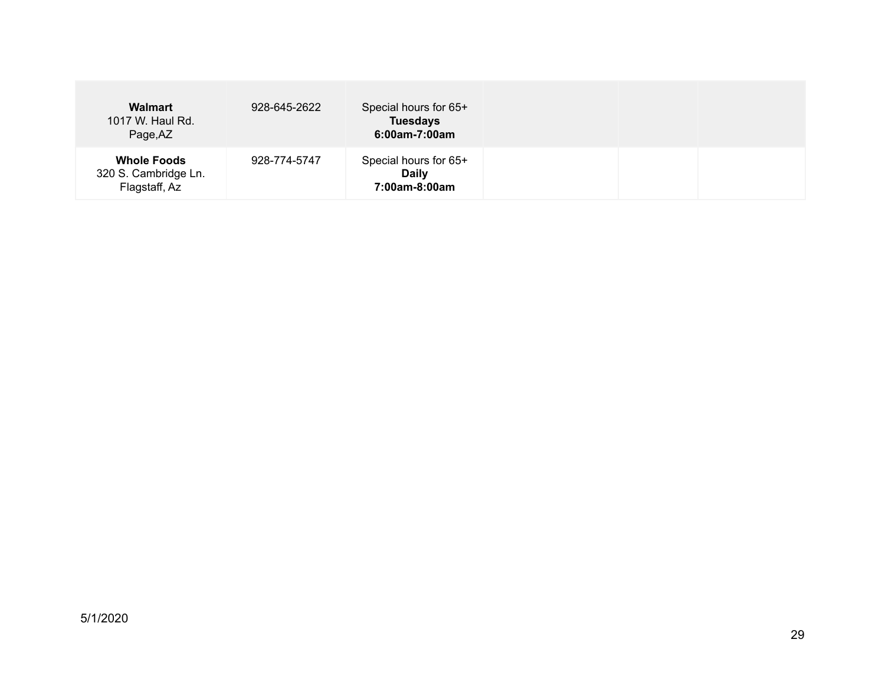| <b>Walmart</b><br>1017 W. Haul Rd.<br>Page, AZ              | 928-645-2622 | Special hours for 65+<br><b>Tuesdays</b><br>6:00am-7:00am |  |  |
|-------------------------------------------------------------|--------------|-----------------------------------------------------------|--|--|
| <b>Whole Foods</b><br>320 S. Cambridge Ln.<br>Flagstaff, Az | 928-774-5747 | Special hours for 65+<br><b>Daily</b><br>7:00am-8:00am    |  |  |